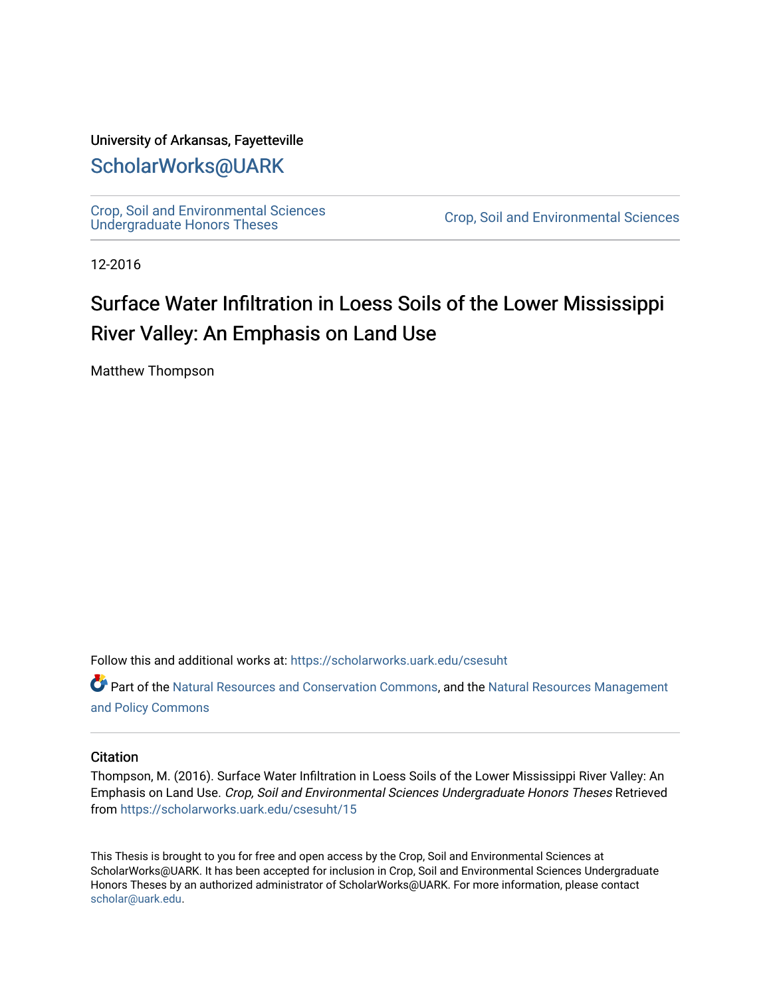### University of Arkansas, Fayetteville

## [ScholarWorks@UARK](https://scholarworks.uark.edu/)

[Crop, Soil and Environmental Sciences](https://scholarworks.uark.edu/csesuht) 

Crop, Soil and Environmental Sciences

12-2016

# Surface Water Infiltration in Loess Soils of the Lower Mississippi River Valley: An Emphasis on Land Use

Matthew Thompson

Follow this and additional works at: [https://scholarworks.uark.edu/csesuht](https://scholarworks.uark.edu/csesuht?utm_source=scholarworks.uark.edu%2Fcsesuht%2F15&utm_medium=PDF&utm_campaign=PDFCoverPages)

Part of the [Natural Resources and Conservation Commons,](http://network.bepress.com/hgg/discipline/168?utm_source=scholarworks.uark.edu%2Fcsesuht%2F15&utm_medium=PDF&utm_campaign=PDFCoverPages) and the [Natural Resources Management](http://network.bepress.com/hgg/discipline/170?utm_source=scholarworks.uark.edu%2Fcsesuht%2F15&utm_medium=PDF&utm_campaign=PDFCoverPages)  [and Policy Commons](http://network.bepress.com/hgg/discipline/170?utm_source=scholarworks.uark.edu%2Fcsesuht%2F15&utm_medium=PDF&utm_campaign=PDFCoverPages)

#### **Citation**

Thompson, M. (2016). Surface Water Infiltration in Loess Soils of the Lower Mississippi River Valley: An Emphasis on Land Use. Crop, Soil and Environmental Sciences Undergraduate Honors Theses Retrieved from [https://scholarworks.uark.edu/csesuht/15](https://scholarworks.uark.edu/csesuht/15?utm_source=scholarworks.uark.edu%2Fcsesuht%2F15&utm_medium=PDF&utm_campaign=PDFCoverPages) 

This Thesis is brought to you for free and open access by the Crop, Soil and Environmental Sciences at ScholarWorks@UARK. It has been accepted for inclusion in Crop, Soil and Environmental Sciences Undergraduate Honors Theses by an authorized administrator of ScholarWorks@UARK. For more information, please contact [scholar@uark.edu](mailto:scholar@uark.edu).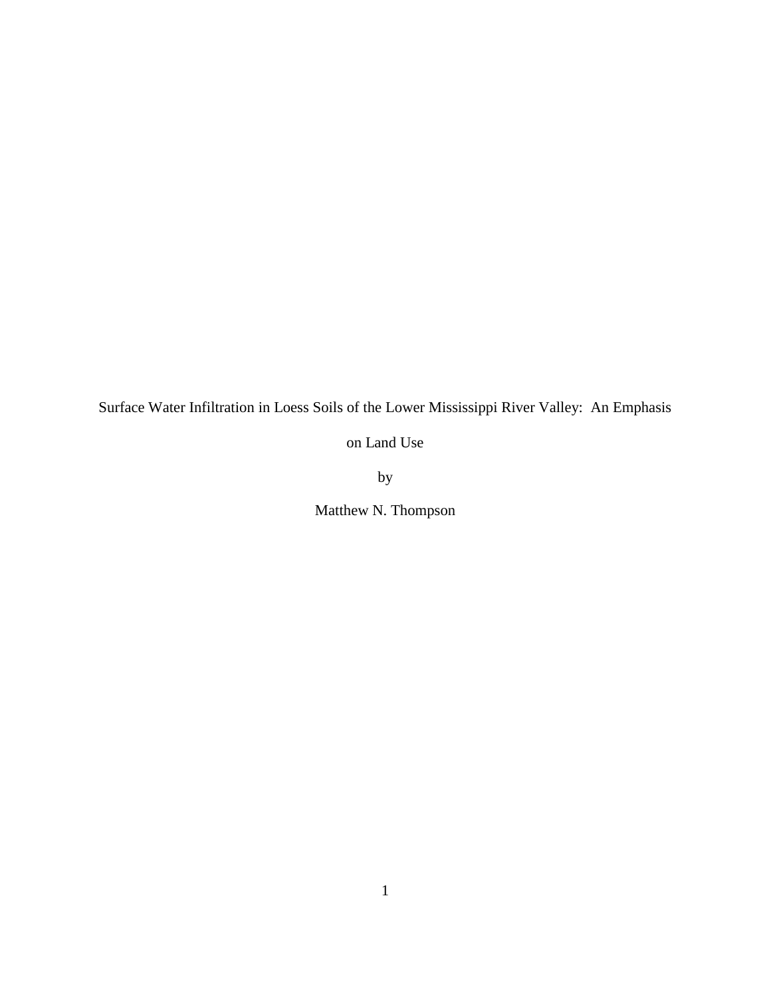Surface Water Infiltration in Loess Soils of the Lower Mississippi River Valley: An Emphasis

on Land Use

by

Matthew N. Thompson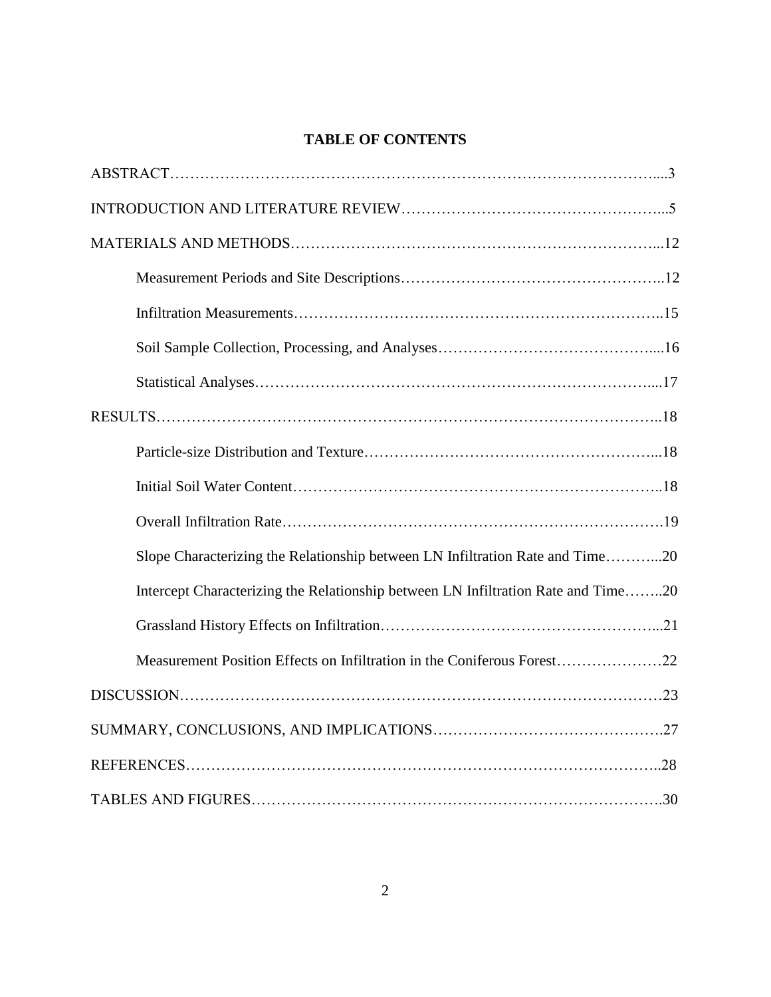## **TABLE OF CONTENTS**

| Slope Characterizing the Relationship between LN Infiltration Rate and Time20     |
|-----------------------------------------------------------------------------------|
| Intercept Characterizing the Relationship between LN Infiltration Rate and Time20 |
|                                                                                   |
| Measurement Position Effects on Infiltration in the Coniferous Forest22           |
|                                                                                   |
|                                                                                   |
|                                                                                   |
|                                                                                   |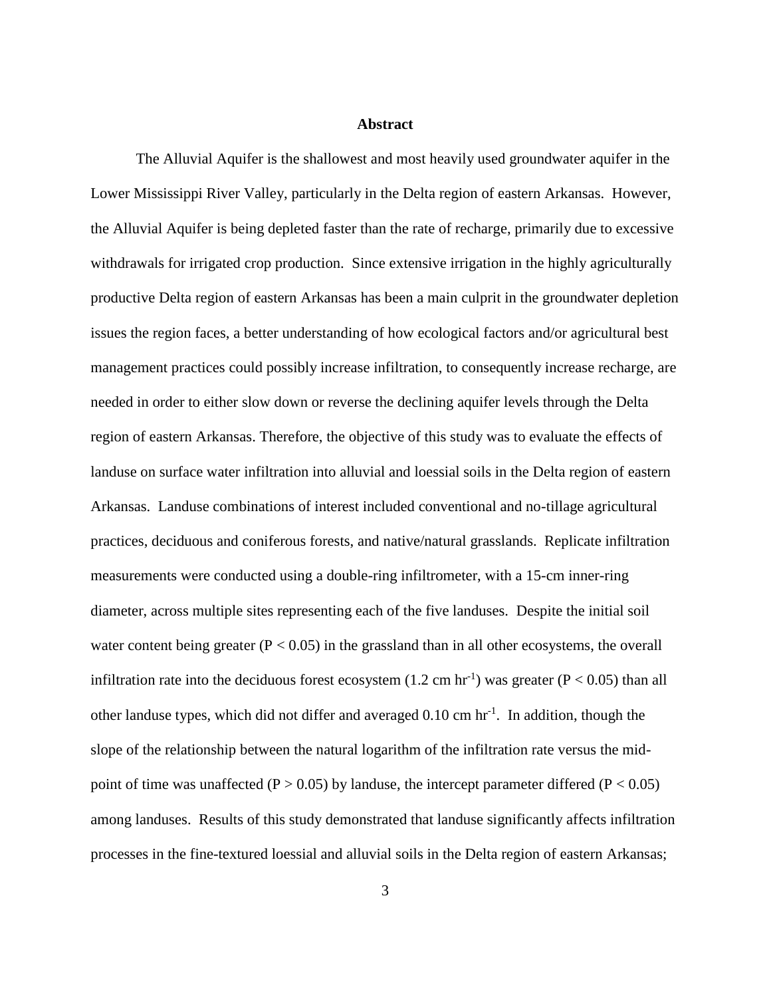#### **Abstract**

The Alluvial Aquifer is the shallowest and most heavily used groundwater aquifer in the Lower Mississippi River Valley, particularly in the Delta region of eastern Arkansas. However, the Alluvial Aquifer is being depleted faster than the rate of recharge, primarily due to excessive withdrawals for irrigated crop production. Since extensive irrigation in the highly agriculturally productive Delta region of eastern Arkansas has been a main culprit in the groundwater depletion issues the region faces, a better understanding of how ecological factors and/or agricultural best management practices could possibly increase infiltration, to consequently increase recharge, are needed in order to either slow down or reverse the declining aquifer levels through the Delta region of eastern Arkansas. Therefore, the objective of this study was to evaluate the effects of landuse on surface water infiltration into alluvial and loessial soils in the Delta region of eastern Arkansas. Landuse combinations of interest included conventional and no-tillage agricultural practices, deciduous and coniferous forests, and native/natural grasslands. Replicate infiltration measurements were conducted using a double-ring infiltrometer, with a 15-cm inner-ring diameter, across multiple sites representing each of the five landuses. Despite the initial soil water content being greater ( $P < 0.05$ ) in the grassland than in all other ecosystems, the overall infiltration rate into the deciduous forest ecosystem  $(1.2 \text{ cm hr}^{-1})$  was greater  $(P < 0.05)$  than all other landuse types, which did not differ and averaged  $0.10 \text{ cm hr}^{-1}$ . In addition, though the slope of the relationship between the natural logarithm of the infiltration rate versus the midpoint of time was unaffected ( $P > 0.05$ ) by landuse, the intercept parameter differed ( $P < 0.05$ ) among landuses. Results of this study demonstrated that landuse significantly affects infiltration processes in the fine-textured loessial and alluvial soils in the Delta region of eastern Arkansas;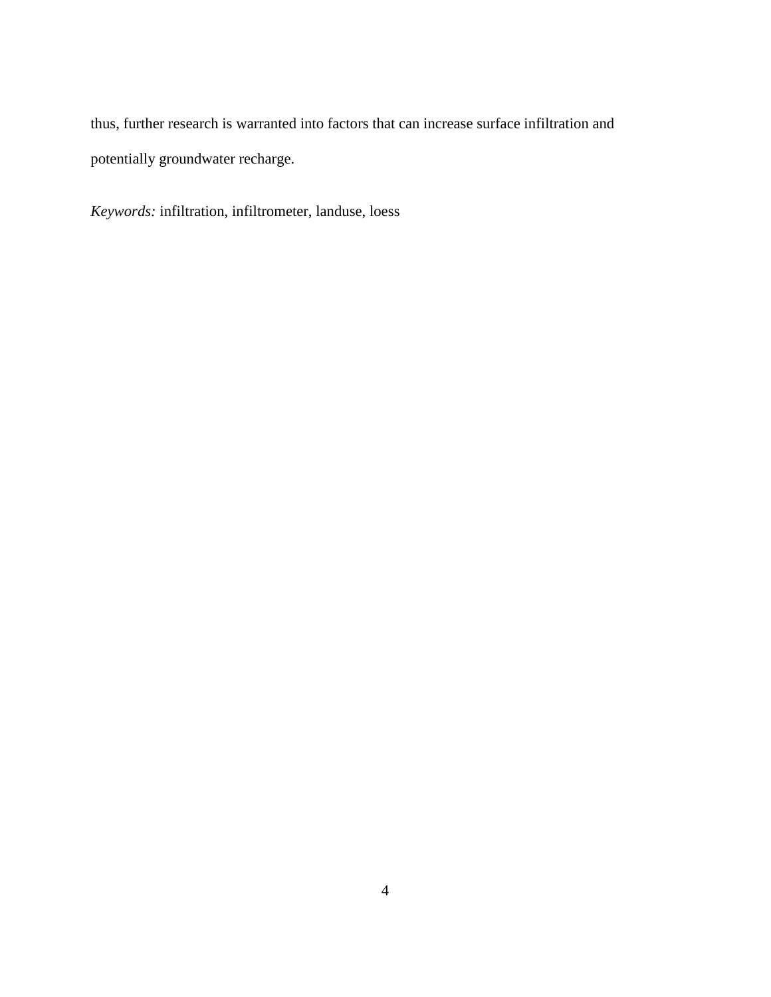thus, further research is warranted into factors that can increase surface infiltration and potentially groundwater recharge.

*Keywords:* infiltration, infiltrometer, landuse, loess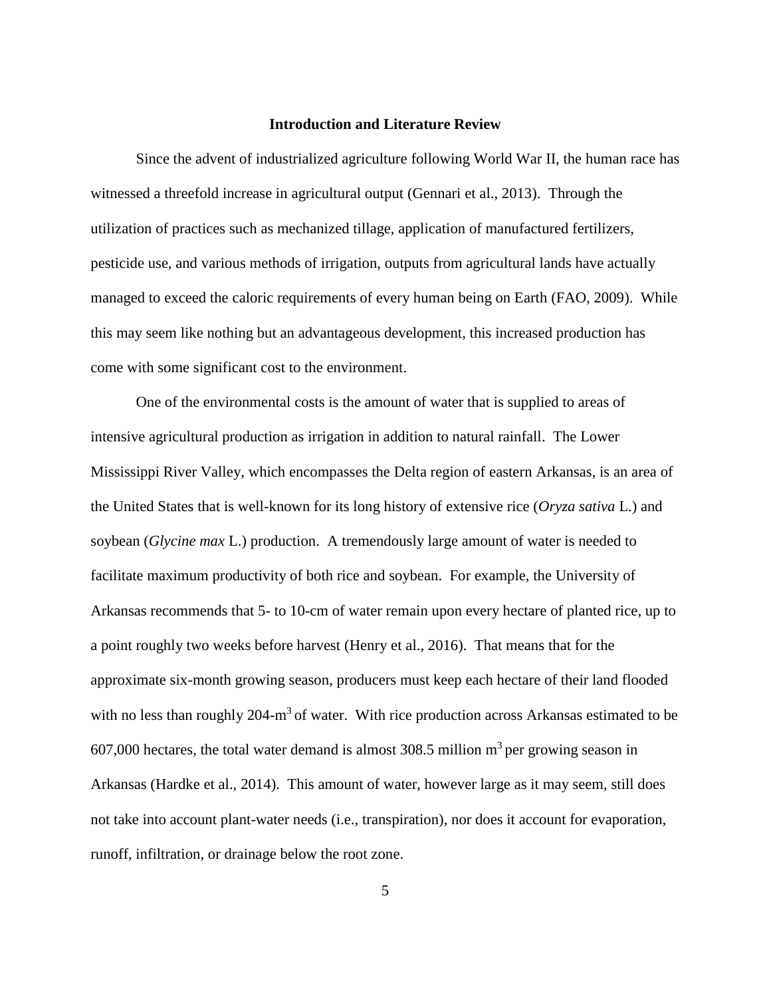#### **Introduction and Literature Review**

Since the advent of industrialized agriculture following World War II, the human race has witnessed a threefold increase in agricultural output (Gennari et al., 2013). Through the utilization of practices such as mechanized tillage, application of manufactured fertilizers, pesticide use, and various methods of irrigation, outputs from agricultural lands have actually managed to exceed the caloric requirements of every human being on Earth (FAO, 2009). While this may seem like nothing but an advantageous development, this increased production has come with some significant cost to the environment.

One of the environmental costs is the amount of water that is supplied to areas of intensive agricultural production as irrigation in addition to natural rainfall. The Lower Mississippi River Valley, which encompasses the Delta region of eastern Arkansas, is an area of the United States that is well-known for its long history of extensive rice (*Oryza sativa* L.) and soybean (*Glycine max* L.) production. A tremendously large amount of water is needed to facilitate maximum productivity of both rice and soybean. For example, the University of Arkansas recommends that 5- to 10-cm of water remain upon every hectare of planted rice, up to a point roughly two weeks before harvest (Henry et al., 2016). That means that for the approximate six-month growing season, producers must keep each hectare of their land flooded with no less than roughly  $204 \text{--} m^3$  of water. With rice production across Arkansas estimated to be  $607,000$  hectares, the total water demand is almost 308.5 million  $m<sup>3</sup>$  per growing season in Arkansas (Hardke et al., 2014). This amount of water, however large as it may seem, still does not take into account plant-water needs (i.e., transpiration), nor does it account for evaporation, runoff, infiltration, or drainage below the root zone.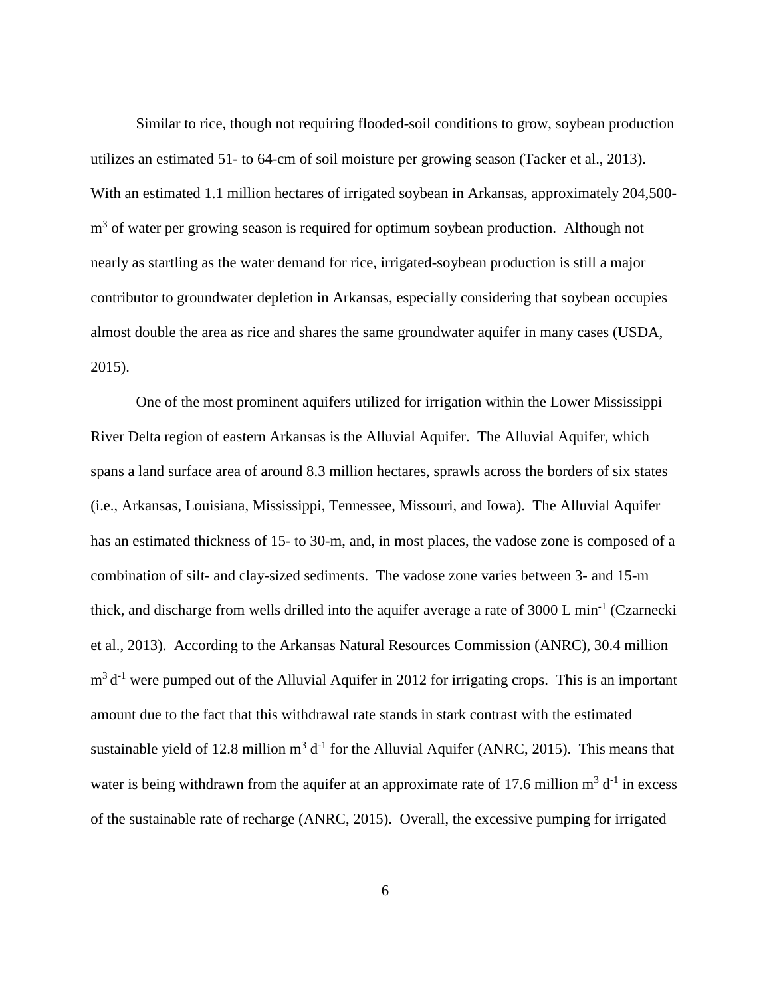Similar to rice, though not requiring flooded-soil conditions to grow, soybean production utilizes an estimated 51- to 64-cm of soil moisture per growing season (Tacker et al., 2013). With an estimated 1.1 million hectares of irrigated soybean in Arkansas, approximately 204,500 m<sup>3</sup> of water per growing season is required for optimum soybean production. Although not nearly as startling as the water demand for rice, irrigated-soybean production is still a major contributor to groundwater depletion in Arkansas, especially considering that soybean occupies almost double the area as rice and shares the same groundwater aquifer in many cases (USDA, 2015).

One of the most prominent aquifers utilized for irrigation within the Lower Mississippi River Delta region of eastern Arkansas is the Alluvial Aquifer. The Alluvial Aquifer, which spans a land surface area of around 8.3 million hectares, sprawls across the borders of six states (i.e., Arkansas, Louisiana, Mississippi, Tennessee, Missouri, and Iowa). The Alluvial Aquifer has an estimated thickness of 15- to 30-m, and, in most places, the vadose zone is composed of a combination of silt- and clay-sized sediments. The vadose zone varies between 3- and 15-m thick, and discharge from wells drilled into the aquifer average a rate of  $3000$  L min<sup>-1</sup> (Czarnecki et al., 2013). According to the Arkansas Natural Resources Commission (ANRC), 30.4 million  $m<sup>3</sup> d<sup>-1</sup>$  were pumped out of the Alluvial Aquifer in 2012 for irrigating crops. This is an important amount due to the fact that this withdrawal rate stands in stark contrast with the estimated sustainable yield of 12.8 million  $m^3 d^{-1}$  for the Alluvial Aquifer (ANRC, 2015). This means that water is being withdrawn from the aquifer at an approximate rate of 17.6 million  $m^3 d^{-1}$  in excess of the sustainable rate of recharge (ANRC, 2015). Overall, the excessive pumping for irrigated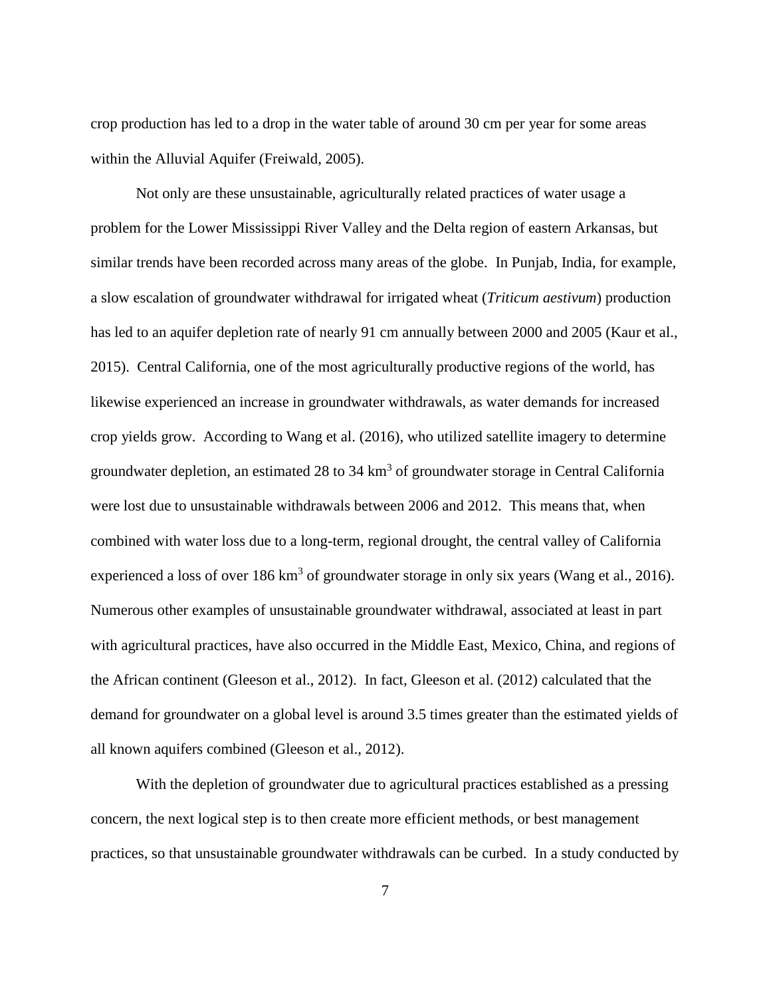crop production has led to a drop in the water table of around 30 cm per year for some areas within the Alluvial Aquifer (Freiwald, 2005).

Not only are these unsustainable, agriculturally related practices of water usage a problem for the Lower Mississippi River Valley and the Delta region of eastern Arkansas, but similar trends have been recorded across many areas of the globe. In Punjab, India, for example, a slow escalation of groundwater withdrawal for irrigated wheat (*Triticum aestivum*) production has led to an aquifer depletion rate of nearly 91 cm annually between 2000 and 2005 (Kaur et al., 2015). Central California, one of the most agriculturally productive regions of the world, has likewise experienced an increase in groundwater withdrawals, as water demands for increased crop yields grow. According to Wang et al. (2016), who utilized satellite imagery to determine groundwater depletion, an estimated 28 to 34 km<sup>3</sup> of groundwater storage in Central California were lost due to unsustainable withdrawals between 2006 and 2012. This means that, when combined with water loss due to a long-term, regional drought, the central valley of California experienced a loss of over 186 km<sup>3</sup> of groundwater storage in only six years (Wang et al., 2016). Numerous other examples of unsustainable groundwater withdrawal, associated at least in part with agricultural practices, have also occurred in the Middle East, Mexico, China, and regions of the African continent (Gleeson et al., 2012). In fact, Gleeson et al. (2012) calculated that the demand for groundwater on a global level is around 3.5 times greater than the estimated yields of all known aquifers combined (Gleeson et al., 2012).

With the depletion of groundwater due to agricultural practices established as a pressing concern, the next logical step is to then create more efficient methods, or best management practices, so that unsustainable groundwater withdrawals can be curbed. In a study conducted by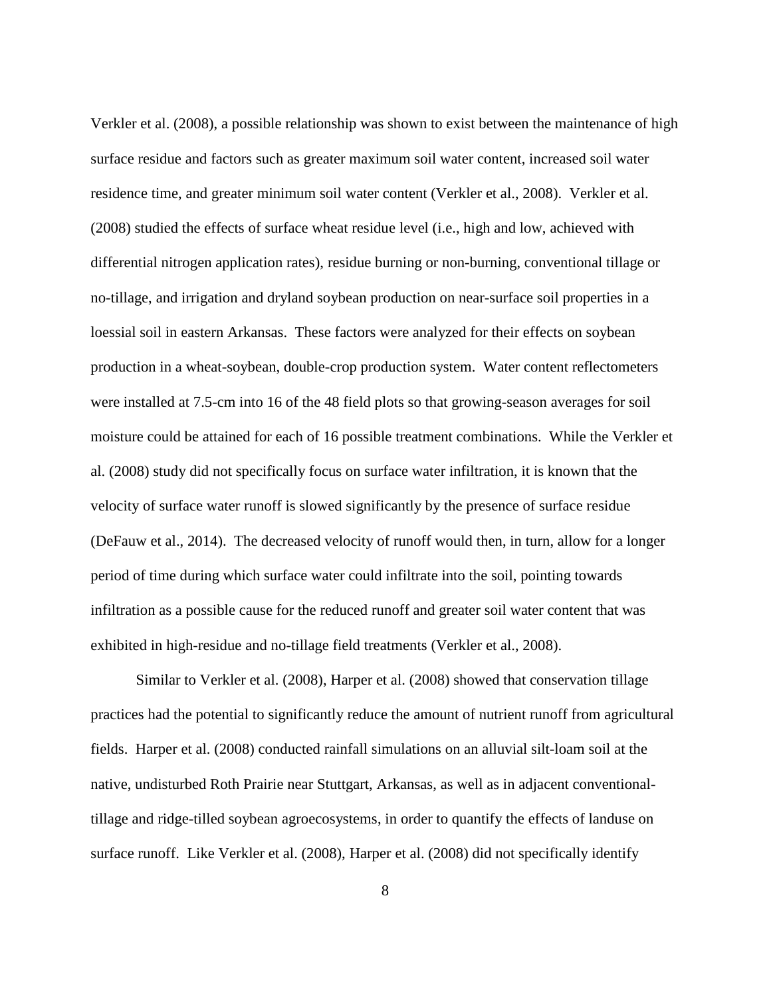Verkler et al. (2008), a possible relationship was shown to exist between the maintenance of high surface residue and factors such as greater maximum soil water content, increased soil water residence time, and greater minimum soil water content (Verkler et al., 2008). Verkler et al. (2008) studied the effects of surface wheat residue level (i.e., high and low, achieved with differential nitrogen application rates), residue burning or non-burning, conventional tillage or no-tillage, and irrigation and dryland soybean production on near-surface soil properties in a loessial soil in eastern Arkansas. These factors were analyzed for their effects on soybean production in a wheat-soybean, double-crop production system. Water content reflectometers were installed at 7.5-cm into 16 of the 48 field plots so that growing-season averages for soil moisture could be attained for each of 16 possible treatment combinations. While the Verkler et al. (2008) study did not specifically focus on surface water infiltration, it is known that the velocity of surface water runoff is slowed significantly by the presence of surface residue (DeFauw et al., 2014). The decreased velocity of runoff would then, in turn, allow for a longer period of time during which surface water could infiltrate into the soil, pointing towards infiltration as a possible cause for the reduced runoff and greater soil water content that was exhibited in high-residue and no-tillage field treatments (Verkler et al., 2008).

Similar to Verkler et al. (2008), Harper et al. (2008) showed that conservation tillage practices had the potential to significantly reduce the amount of nutrient runoff from agricultural fields. Harper et al. (2008) conducted rainfall simulations on an alluvial silt-loam soil at the native, undisturbed Roth Prairie near Stuttgart, Arkansas, as well as in adjacent conventionaltillage and ridge-tilled soybean agroecosystems, in order to quantify the effects of landuse on surface runoff. Like Verkler et al. (2008), Harper et al. (2008) did not specifically identify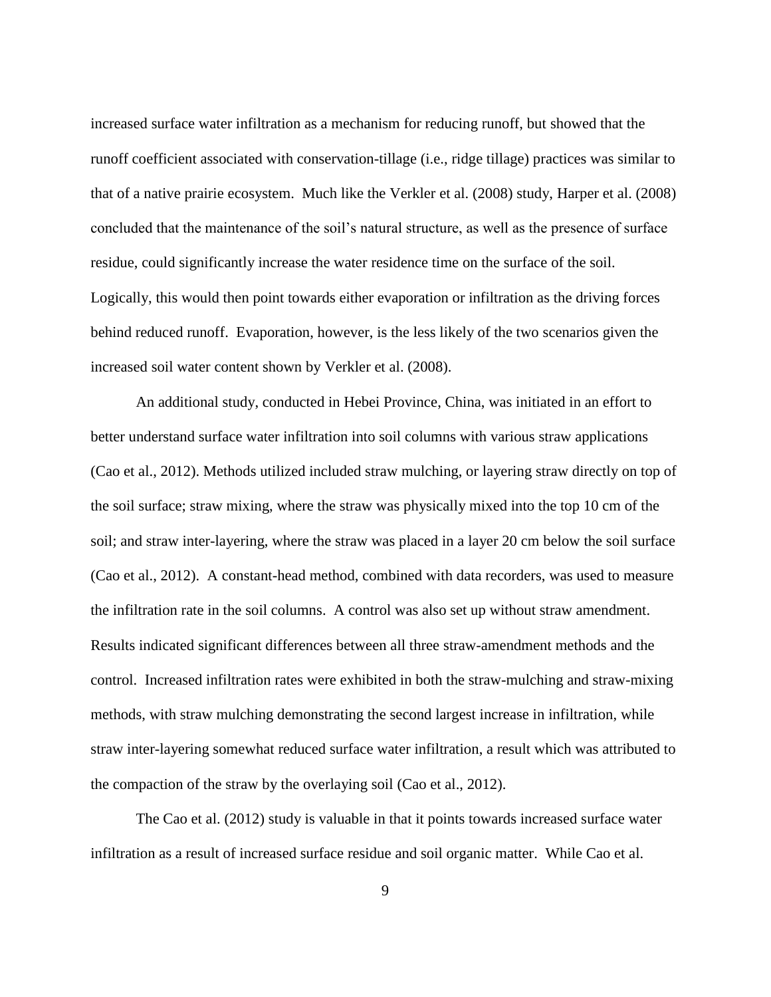increased surface water infiltration as a mechanism for reducing runoff, but showed that the runoff coefficient associated with conservation-tillage (i.e., ridge tillage) practices was similar to that of a native prairie ecosystem. Much like the Verkler et al. (2008) study, Harper et al. (2008) concluded that the maintenance of the soil's natural structure, as well as the presence of surface residue, could significantly increase the water residence time on the surface of the soil. Logically, this would then point towards either evaporation or infiltration as the driving forces behind reduced runoff. Evaporation, however, is the less likely of the two scenarios given the increased soil water content shown by Verkler et al. (2008).

An additional study, conducted in Hebei Province, China, was initiated in an effort to better understand surface water infiltration into soil columns with various straw applications (Cao et al., 2012). Methods utilized included straw mulching, or layering straw directly on top of the soil surface; straw mixing, where the straw was physically mixed into the top 10 cm of the soil; and straw inter-layering, where the straw was placed in a layer 20 cm below the soil surface (Cao et al., 2012). A constant-head method, combined with data recorders, was used to measure the infiltration rate in the soil columns. A control was also set up without straw amendment. Results indicated significant differences between all three straw-amendment methods and the control. Increased infiltration rates were exhibited in both the straw-mulching and straw-mixing methods, with straw mulching demonstrating the second largest increase in infiltration, while straw inter-layering somewhat reduced surface water infiltration, a result which was attributed to the compaction of the straw by the overlaying soil (Cao et al., 2012).

The Cao et al. (2012) study is valuable in that it points towards increased surface water infiltration as a result of increased surface residue and soil organic matter. While Cao et al.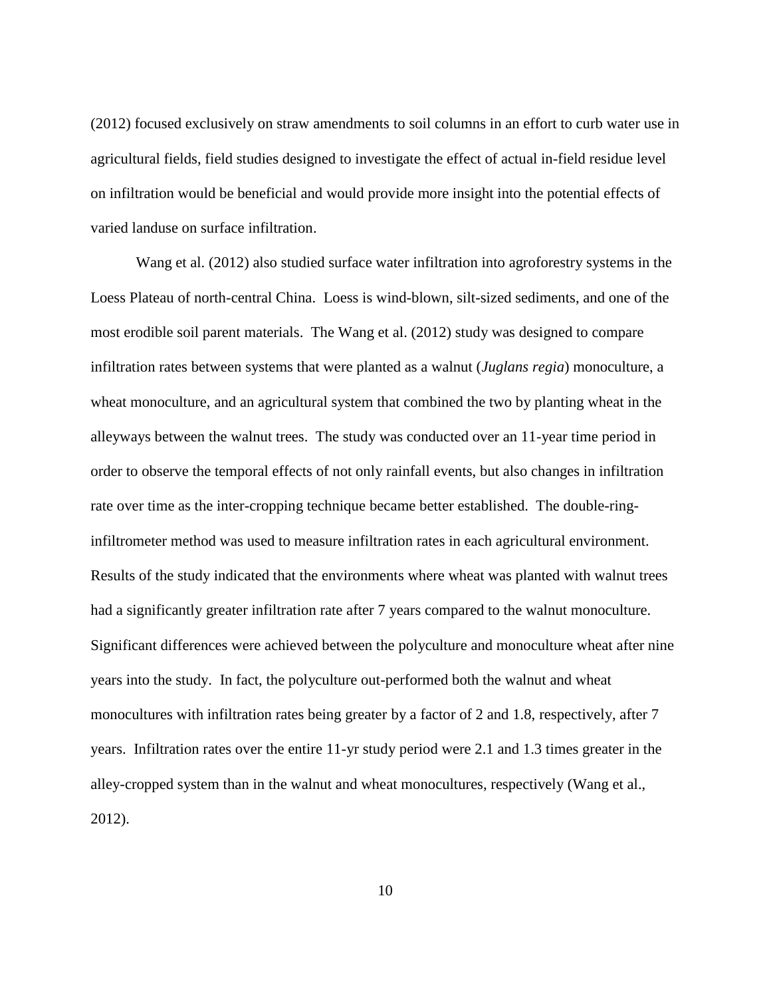(2012) focused exclusively on straw amendments to soil columns in an effort to curb water use in agricultural fields, field studies designed to investigate the effect of actual in-field residue level on infiltration would be beneficial and would provide more insight into the potential effects of varied landuse on surface infiltration.

Wang et al. (2012) also studied surface water infiltration into agroforestry systems in the Loess Plateau of north-central China. Loess is wind-blown, silt-sized sediments, and one of the most erodible soil parent materials. The Wang et al. (2012) study was designed to compare infiltration rates between systems that were planted as a walnut (*Juglans regia*) monoculture, a wheat monoculture, and an agricultural system that combined the two by planting wheat in the alleyways between the walnut trees. The study was conducted over an 11-year time period in order to observe the temporal effects of not only rainfall events, but also changes in infiltration rate over time as the inter-cropping technique became better established. The double-ringinfiltrometer method was used to measure infiltration rates in each agricultural environment. Results of the study indicated that the environments where wheat was planted with walnut trees had a significantly greater infiltration rate after 7 years compared to the walnut monoculture. Significant differences were achieved between the polyculture and monoculture wheat after nine years into the study. In fact, the polyculture out-performed both the walnut and wheat monocultures with infiltration rates being greater by a factor of 2 and 1.8, respectively, after 7 years. Infiltration rates over the entire 11-yr study period were 2.1 and 1.3 times greater in the alley-cropped system than in the walnut and wheat monocultures, respectively (Wang et al., 2012).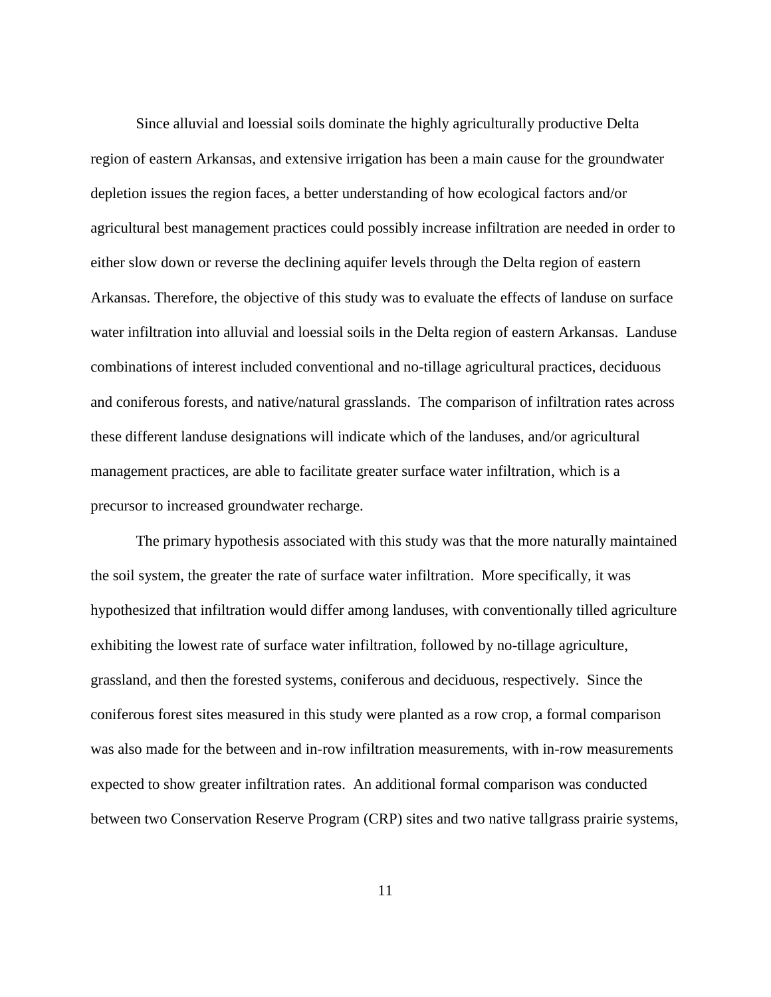Since alluvial and loessial soils dominate the highly agriculturally productive Delta region of eastern Arkansas, and extensive irrigation has been a main cause for the groundwater depletion issues the region faces, a better understanding of how ecological factors and/or agricultural best management practices could possibly increase infiltration are needed in order to either slow down or reverse the declining aquifer levels through the Delta region of eastern Arkansas. Therefore, the objective of this study was to evaluate the effects of landuse on surface water infiltration into alluvial and loessial soils in the Delta region of eastern Arkansas. Landuse combinations of interest included conventional and no-tillage agricultural practices, deciduous and coniferous forests, and native/natural grasslands. The comparison of infiltration rates across these different landuse designations will indicate which of the landuses, and/or agricultural management practices, are able to facilitate greater surface water infiltration, which is a precursor to increased groundwater recharge.

The primary hypothesis associated with this study was that the more naturally maintained the soil system, the greater the rate of surface water infiltration. More specifically, it was hypothesized that infiltration would differ among landuses, with conventionally tilled agriculture exhibiting the lowest rate of surface water infiltration, followed by no-tillage agriculture, grassland, and then the forested systems, coniferous and deciduous, respectively. Since the coniferous forest sites measured in this study were planted as a row crop, a formal comparison was also made for the between and in-row infiltration measurements, with in-row measurements expected to show greater infiltration rates. An additional formal comparison was conducted between two Conservation Reserve Program (CRP) sites and two native tallgrass prairie systems,

11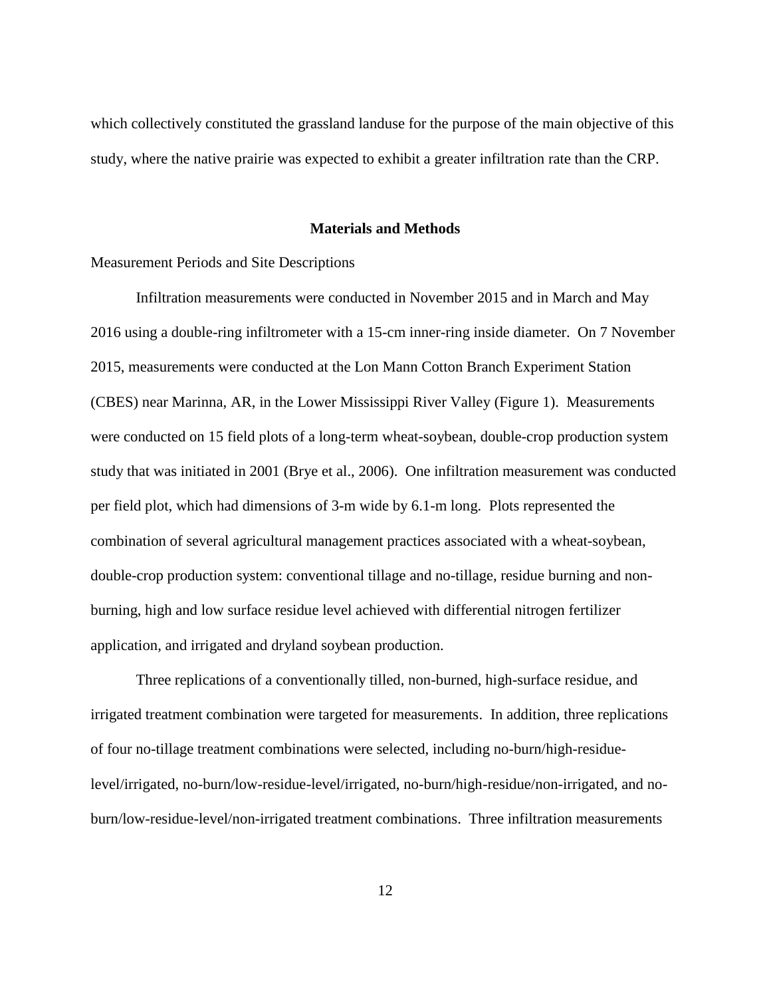which collectively constituted the grassland landuse for the purpose of the main objective of this study, where the native prairie was expected to exhibit a greater infiltration rate than the CRP.

#### **Materials and Methods**

#### Measurement Periods and Site Descriptions

Infiltration measurements were conducted in November 2015 and in March and May 2016 using a double-ring infiltrometer with a 15-cm inner-ring inside diameter. On 7 November 2015, measurements were conducted at the Lon Mann Cotton Branch Experiment Station (CBES) near Marinna, AR, in the Lower Mississippi River Valley (Figure 1). Measurements were conducted on 15 field plots of a long-term wheat-soybean, double-crop production system study that was initiated in 2001 (Brye et al., 2006). One infiltration measurement was conducted per field plot, which had dimensions of 3-m wide by 6.1-m long. Plots represented the combination of several agricultural management practices associated with a wheat-soybean, double-crop production system: conventional tillage and no-tillage, residue burning and nonburning, high and low surface residue level achieved with differential nitrogen fertilizer application, and irrigated and dryland soybean production.

Three replications of a conventionally tilled, non-burned, high-surface residue, and irrigated treatment combination were targeted for measurements. In addition, three replications of four no-tillage treatment combinations were selected, including no-burn/high-residuelevel/irrigated, no-burn/low-residue-level/irrigated, no-burn/high-residue/non-irrigated, and noburn/low-residue-level/non-irrigated treatment combinations. Three infiltration measurements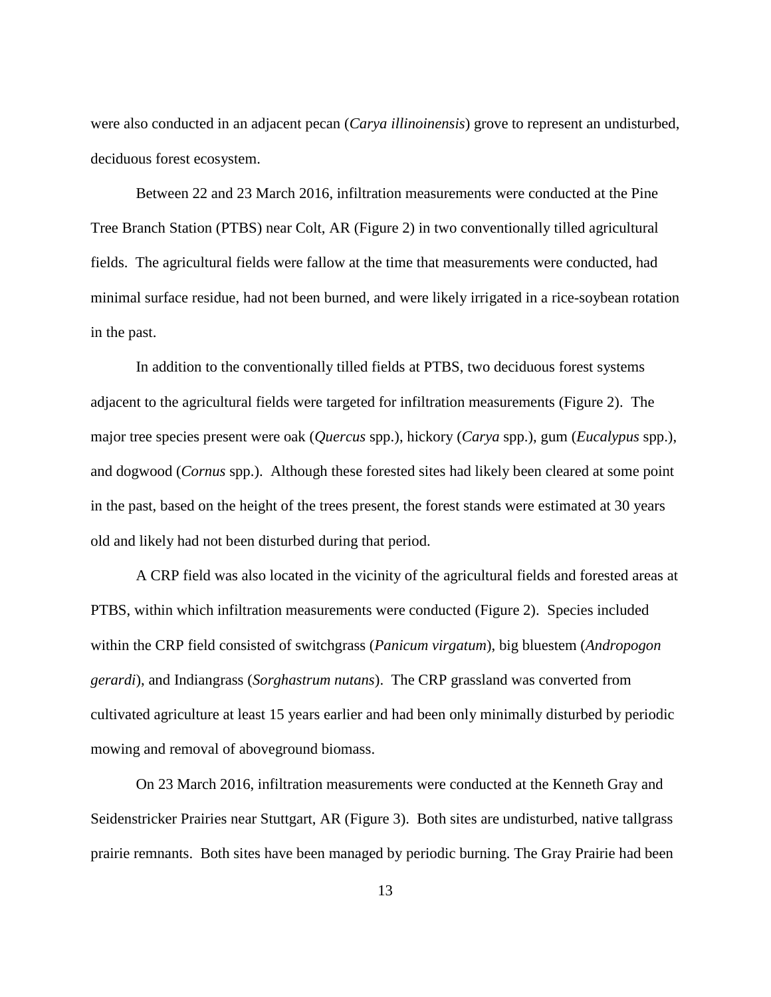were also conducted in an adjacent pecan (*Carya illinoinensis*) grove to represent an undisturbed, deciduous forest ecosystem.

Between 22 and 23 March 2016, infiltration measurements were conducted at the Pine Tree Branch Station (PTBS) near Colt, AR (Figure 2) in two conventionally tilled agricultural fields. The agricultural fields were fallow at the time that measurements were conducted, had minimal surface residue, had not been burned, and were likely irrigated in a rice-soybean rotation in the past.

In addition to the conventionally tilled fields at PTBS, two deciduous forest systems adjacent to the agricultural fields were targeted for infiltration measurements (Figure 2). The major tree species present were oak (*Quercus* spp.), hickory (*Carya* spp.), gum (*Eucalypus* spp.), and dogwood (*Cornus* spp.). Although these forested sites had likely been cleared at some point in the past, based on the height of the trees present, the forest stands were estimated at 30 years old and likely had not been disturbed during that period.

A CRP field was also located in the vicinity of the agricultural fields and forested areas at PTBS, within which infiltration measurements were conducted (Figure 2). Species included within the CRP field consisted of switchgrass (*Panicum virgatum*), big bluestem (*Andropogon gerardi*), and Indiangrass (*Sorghastrum nutans*). The CRP grassland was converted from cultivated agriculture at least 15 years earlier and had been only minimally disturbed by periodic mowing and removal of aboveground biomass.

On 23 March 2016, infiltration measurements were conducted at the Kenneth Gray and Seidenstricker Prairies near Stuttgart, AR (Figure 3). Both sites are undisturbed, native tallgrass prairie remnants. Both sites have been managed by periodic burning. The Gray Prairie had been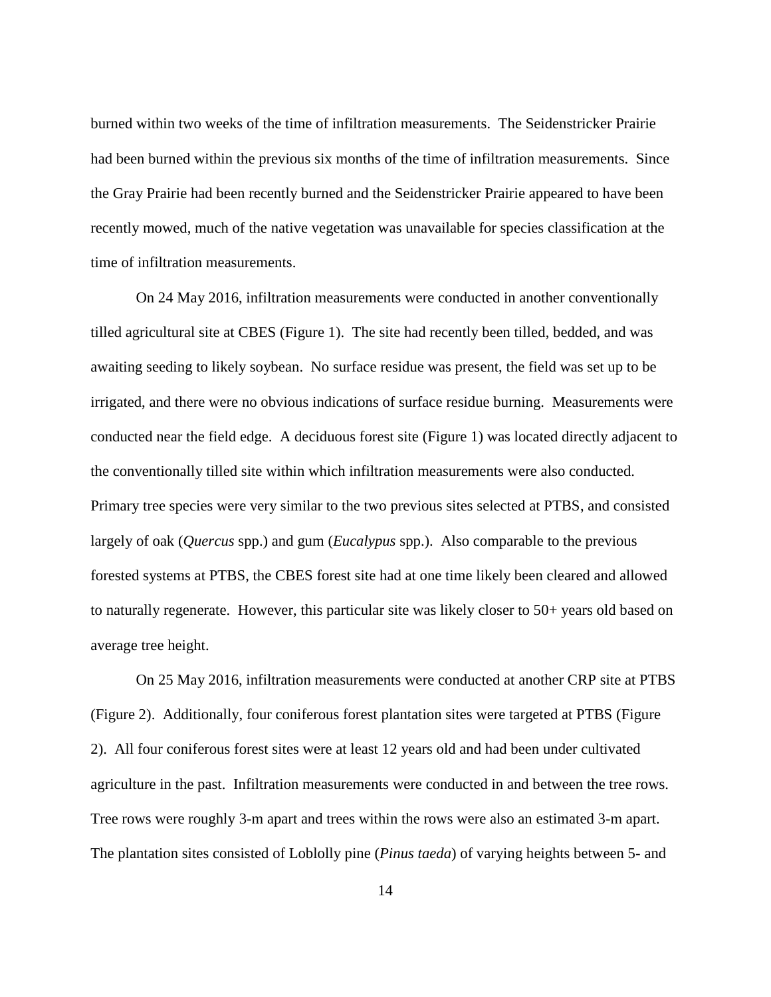burned within two weeks of the time of infiltration measurements. The Seidenstricker Prairie had been burned within the previous six months of the time of infiltration measurements. Since the Gray Prairie had been recently burned and the Seidenstricker Prairie appeared to have been recently mowed, much of the native vegetation was unavailable for species classification at the time of infiltration measurements.

On 24 May 2016, infiltration measurements were conducted in another conventionally tilled agricultural site at CBES (Figure 1). The site had recently been tilled, bedded, and was awaiting seeding to likely soybean. No surface residue was present, the field was set up to be irrigated, and there were no obvious indications of surface residue burning. Measurements were conducted near the field edge. A deciduous forest site (Figure 1) was located directly adjacent to the conventionally tilled site within which infiltration measurements were also conducted. Primary tree species were very similar to the two previous sites selected at PTBS, and consisted largely of oak (*Quercus* spp.) and gum (*Eucalypus* spp.). Also comparable to the previous forested systems at PTBS, the CBES forest site had at one time likely been cleared and allowed to naturally regenerate. However, this particular site was likely closer to 50+ years old based on average tree height.

On 25 May 2016, infiltration measurements were conducted at another CRP site at PTBS (Figure 2). Additionally, four coniferous forest plantation sites were targeted at PTBS (Figure 2). All four coniferous forest sites were at least 12 years old and had been under cultivated agriculture in the past. Infiltration measurements were conducted in and between the tree rows. Tree rows were roughly 3-m apart and trees within the rows were also an estimated 3-m apart. The plantation sites consisted of Loblolly pine (*Pinus taeda*) of varying heights between 5- and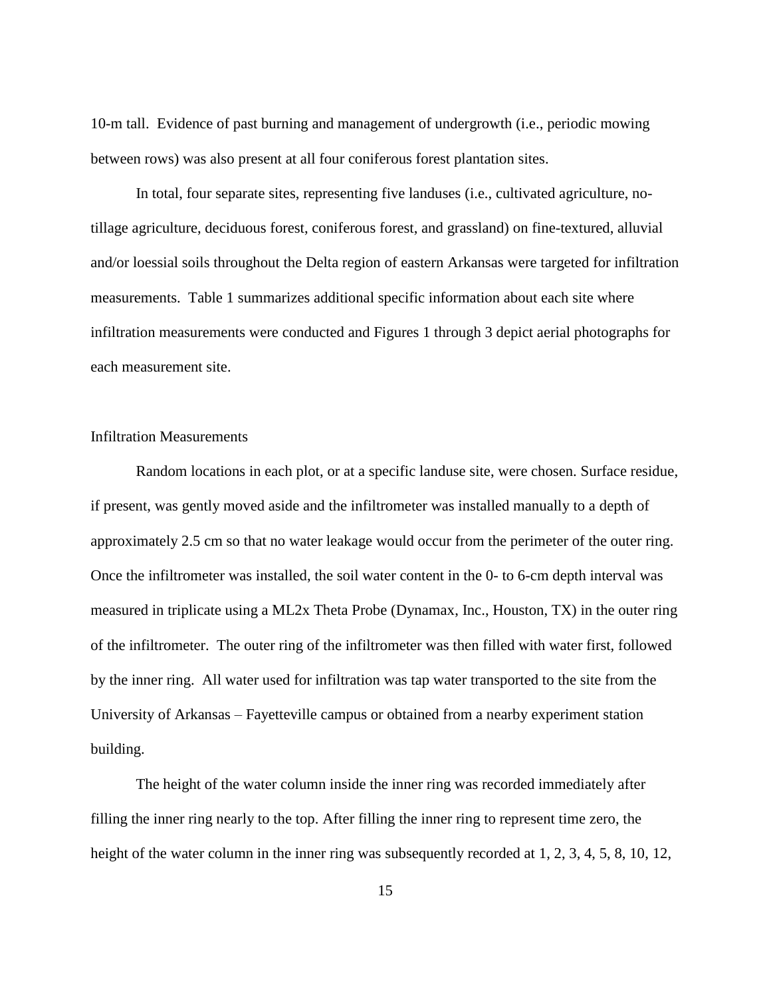10-m tall. Evidence of past burning and management of undergrowth (i.e., periodic mowing between rows) was also present at all four coniferous forest plantation sites.

In total, four separate sites, representing five landuses (i.e., cultivated agriculture, notillage agriculture, deciduous forest, coniferous forest, and grassland) on fine-textured, alluvial and/or loessial soils throughout the Delta region of eastern Arkansas were targeted for infiltration measurements. Table 1 summarizes additional specific information about each site where infiltration measurements were conducted and Figures 1 through 3 depict aerial photographs for each measurement site.

### Infiltration Measurements

Random locations in each plot, or at a specific landuse site, were chosen. Surface residue, if present, was gently moved aside and the infiltrometer was installed manually to a depth of approximately 2.5 cm so that no water leakage would occur from the perimeter of the outer ring. Once the infiltrometer was installed, the soil water content in the 0- to 6-cm depth interval was measured in triplicate using a ML2x Theta Probe (Dynamax, Inc., Houston, TX) in the outer ring of the infiltrometer. The outer ring of the infiltrometer was then filled with water first, followed by the inner ring. All water used for infiltration was tap water transported to the site from the University of Arkansas – Fayetteville campus or obtained from a nearby experiment station building.

The height of the water column inside the inner ring was recorded immediately after filling the inner ring nearly to the top. After filling the inner ring to represent time zero, the height of the water column in the inner ring was subsequently recorded at 1, 2, 3, 4, 5, 8, 10, 12,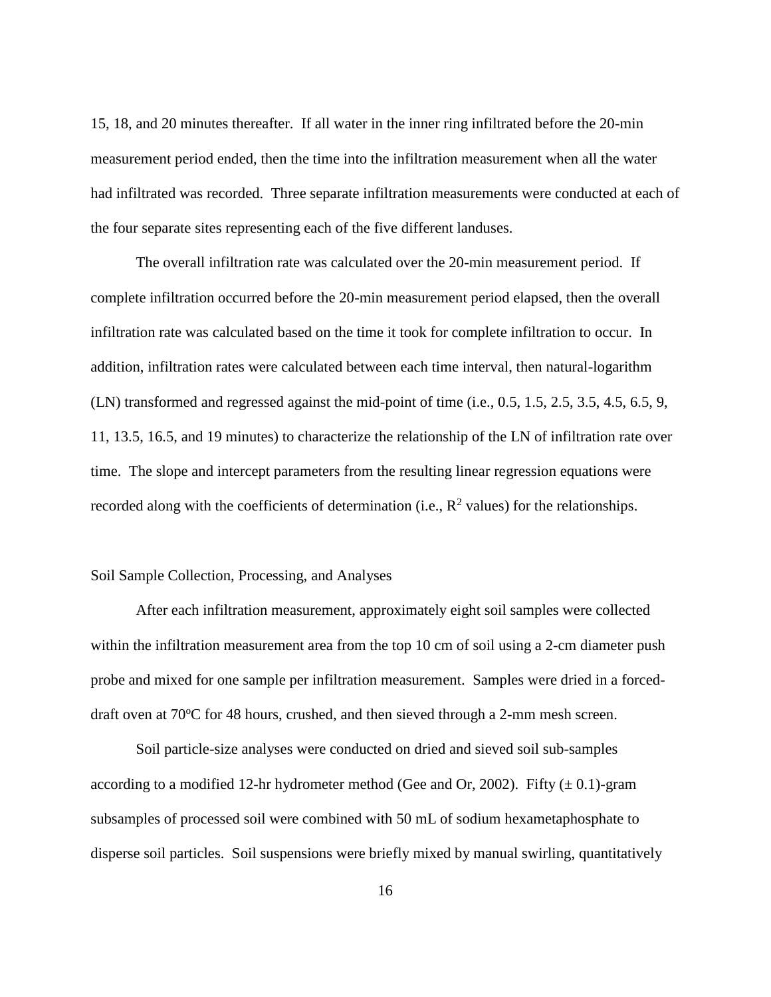15, 18, and 20 minutes thereafter. If all water in the inner ring infiltrated before the 20-min measurement period ended, then the time into the infiltration measurement when all the water had infiltrated was recorded. Three separate infiltration measurements were conducted at each of the four separate sites representing each of the five different landuses.

The overall infiltration rate was calculated over the 20-min measurement period. If complete infiltration occurred before the 20-min measurement period elapsed, then the overall infiltration rate was calculated based on the time it took for complete infiltration to occur. In addition, infiltration rates were calculated between each time interval, then natural-logarithm (LN) transformed and regressed against the mid-point of time (i.e., 0.5, 1.5, 2.5, 3.5, 4.5, 6.5, 9, 11, 13.5, 16.5, and 19 minutes) to characterize the relationship of the LN of infiltration rate over time. The slope and intercept parameters from the resulting linear regression equations were recorded along with the coefficients of determination (i.e.,  $\mathbb{R}^2$  values) for the relationships.

#### Soil Sample Collection, Processing, and Analyses

After each infiltration measurement, approximately eight soil samples were collected within the infiltration measurement area from the top 10 cm of soil using a 2-cm diameter push probe and mixed for one sample per infiltration measurement. Samples were dried in a forceddraft oven at  $70^{\circ}$ C for 48 hours, crushed, and then sieved through a 2-mm mesh screen.

Soil particle-size analyses were conducted on dried and sieved soil sub-samples according to a modified 12-hr hydrometer method (Gee and Or, 2002). Fifty  $(\pm 0.1)$ -gram subsamples of processed soil were combined with 50 mL of sodium hexametaphosphate to disperse soil particles. Soil suspensions were briefly mixed by manual swirling, quantitatively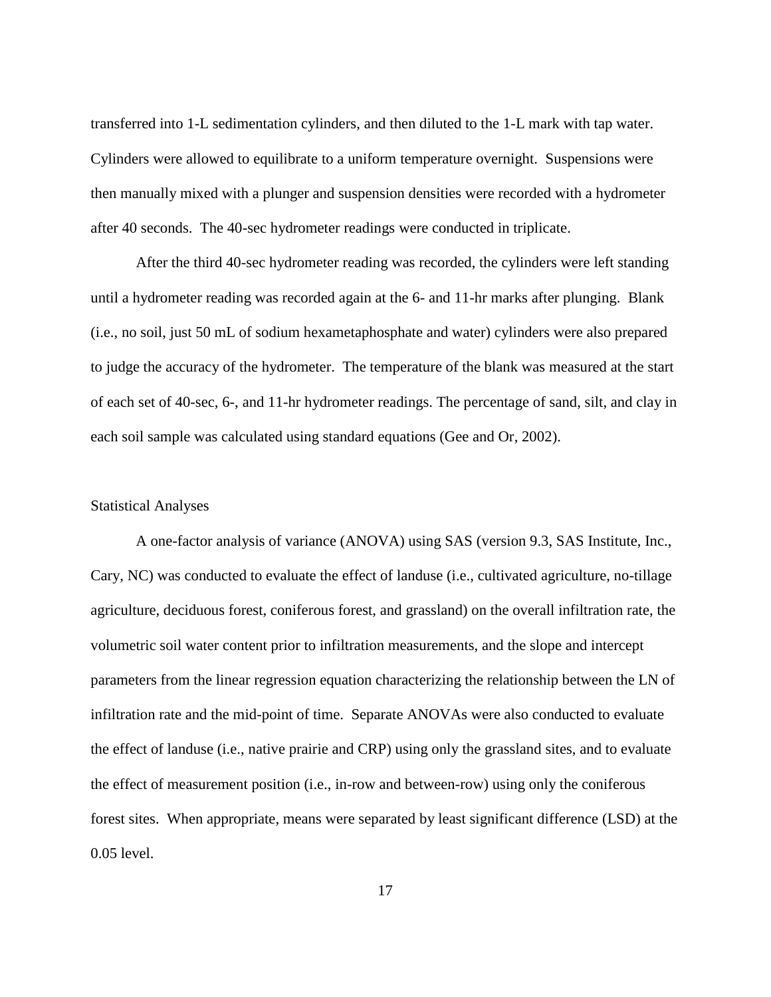transferred into 1-L sedimentation cylinders, and then diluted to the 1-L mark with tap water. Cylinders were allowed to equilibrate to a uniform temperature overnight. Suspensions were then manually mixed with a plunger and suspension densities were recorded with a hydrometer after 40 seconds. The 40-sec hydrometer readings were conducted in triplicate.

After the third 40-sec hydrometer reading was recorded, the cylinders were left standing until a hydrometer reading was recorded again at the 6- and 11-hr marks after plunging. Blank (i.e., no soil, just 50 mL of sodium hexametaphosphate and water) cylinders were also prepared to judge the accuracy of the hydrometer. The temperature of the blank was measured at the start of each set of 40-sec, 6-, and 11-hr hydrometer readings. The percentage of sand, silt, and clay in each soil sample was calculated using standard equations (Gee and Or, 2002).

#### Statistical Analyses

A one-factor analysis of variance (ANOVA) using SAS (version 9.3, SAS Institute, Inc., Cary, NC) was conducted to evaluate the effect of landuse (i.e., cultivated agriculture, no-tillage agriculture, deciduous forest, coniferous forest, and grassland) on the overall infiltration rate, the volumetric soil water content prior to infiltration measurements, and the slope and intercept parameters from the linear regression equation characterizing the relationship between the LN of infiltration rate and the mid-point of time. Separate ANOVAs were also conducted to evaluate the effect of landuse (i.e., native prairie and CRP) using only the grassland sites, and to evaluate the effect of measurement position (i.e., in-row and between-row) using only the coniferous forest sites. When appropriate, means were separated by least significant difference (LSD) at the 0.05 level.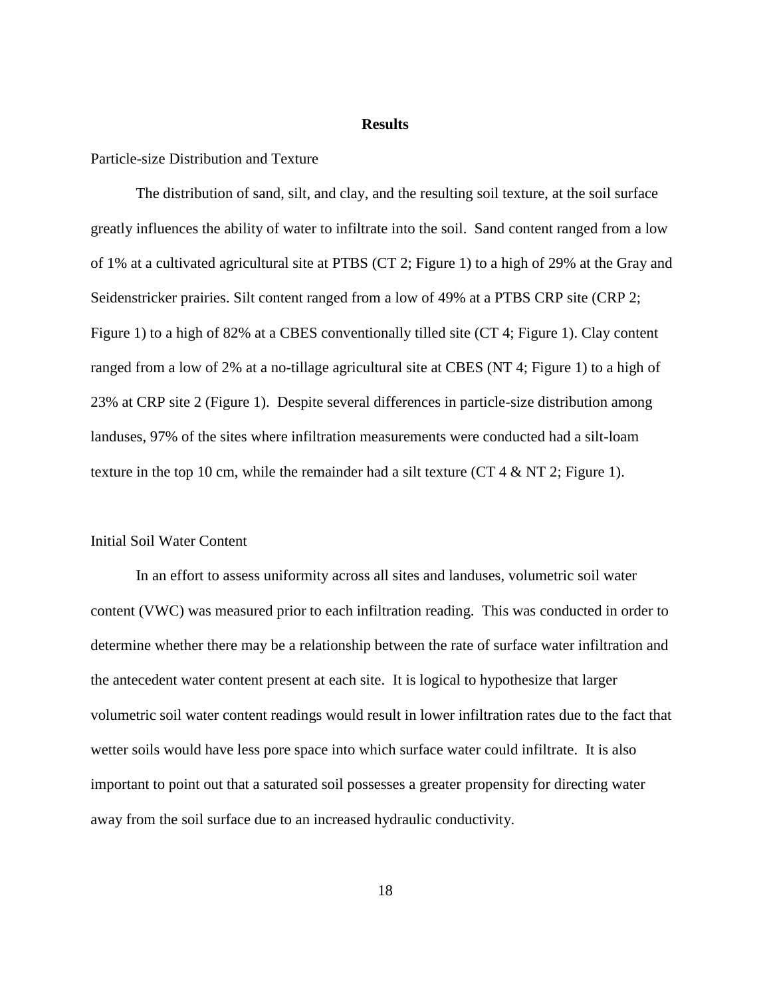#### **Results**

#### Particle-size Distribution and Texture

The distribution of sand, silt, and clay, and the resulting soil texture, at the soil surface greatly influences the ability of water to infiltrate into the soil. Sand content ranged from a low of 1% at a cultivated agricultural site at PTBS (CT 2; Figure 1) to a high of 29% at the Gray and Seidenstricker prairies. Silt content ranged from a low of 49% at a PTBS CRP site (CRP 2; Figure 1) to a high of 82% at a CBES conventionally tilled site (CT 4; Figure 1). Clay content ranged from a low of 2% at a no-tillage agricultural site at CBES (NT 4; Figure 1) to a high of 23% at CRP site 2 (Figure 1). Despite several differences in particle-size distribution among landuses, 97% of the sites where infiltration measurements were conducted had a silt-loam texture in the top 10 cm, while the remainder had a silt texture (CT 4  $\&$  NT 2; Figure 1).

#### Initial Soil Water Content

In an effort to assess uniformity across all sites and landuses, volumetric soil water content (VWC) was measured prior to each infiltration reading. This was conducted in order to determine whether there may be a relationship between the rate of surface water infiltration and the antecedent water content present at each site. It is logical to hypothesize that larger volumetric soil water content readings would result in lower infiltration rates due to the fact that wetter soils would have less pore space into which surface water could infiltrate. It is also important to point out that a saturated soil possesses a greater propensity for directing water away from the soil surface due to an increased hydraulic conductivity.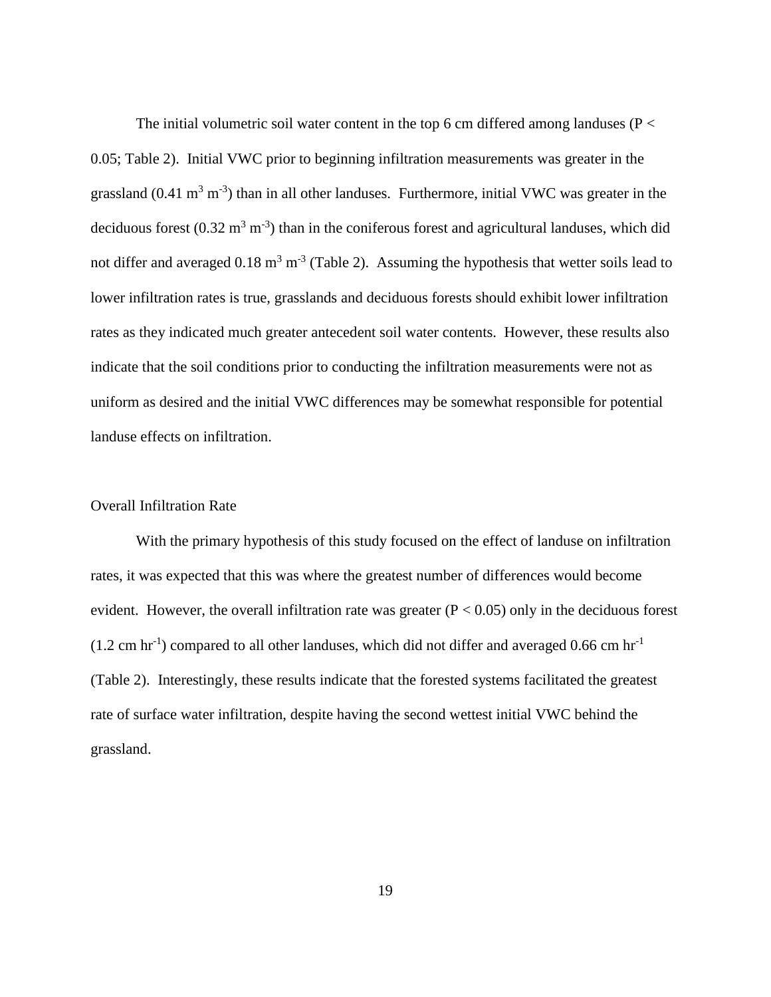The initial volumetric soil water content in the top 6 cm differed among landuses ( $P <$ 0.05; Table 2). Initial VWC prior to beginning infiltration measurements was greater in the grassland  $(0.41 \text{ m}^3 \text{ m}^{-3})$  than in all other landuses. Furthermore, initial VWC was greater in the deciduous forest  $(0.32 \text{ m}^3 \text{ m}^{-3})$  than in the coniferous forest and agricultural landuses, which did not differ and averaged  $0.18 \text{ m}^3 \text{ m}^{-3}$  (Table 2). Assuming the hypothesis that wetter soils lead to lower infiltration rates is true, grasslands and deciduous forests should exhibit lower infiltration rates as they indicated much greater antecedent soil water contents. However, these results also indicate that the soil conditions prior to conducting the infiltration measurements were not as uniform as desired and the initial VWC differences may be somewhat responsible for potential landuse effects on infiltration.

#### Overall Infiltration Rate

With the primary hypothesis of this study focused on the effect of landuse on infiltration rates, it was expected that this was where the greatest number of differences would become evident. However, the overall infiltration rate was greater  $(P < 0.05)$  only in the deciduous forest  $(1.2 \text{ cm hr}^{-1})$  compared to all other landuses, which did not differ and averaged 0.66 cm hr<sup>-1</sup> (Table 2). Interestingly, these results indicate that the forested systems facilitated the greatest rate of surface water infiltration, despite having the second wettest initial VWC behind the grassland.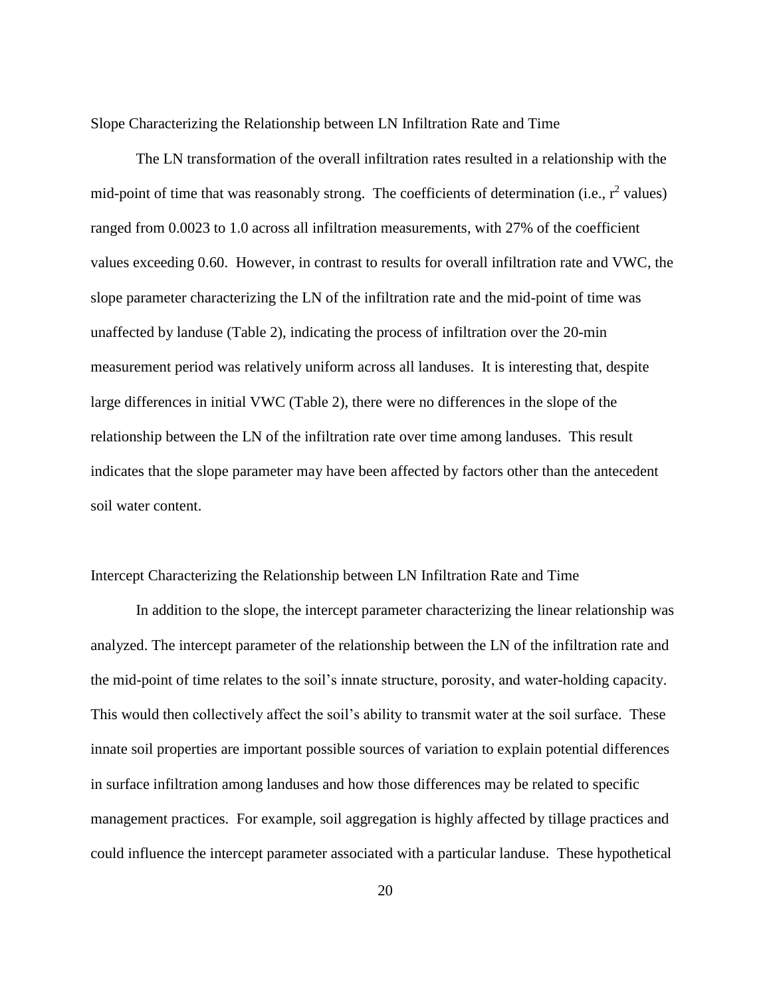Slope Characterizing the Relationship between LN Infiltration Rate and Time

The LN transformation of the overall infiltration rates resulted in a relationship with the mid-point of time that was reasonably strong. The coefficients of determination (i.e.,  $r^2$  values) ranged from 0.0023 to 1.0 across all infiltration measurements, with 27% of the coefficient values exceeding 0.60. However, in contrast to results for overall infiltration rate and VWC, the slope parameter characterizing the LN of the infiltration rate and the mid-point of time was unaffected by landuse (Table 2), indicating the process of infiltration over the 20-min measurement period was relatively uniform across all landuses. It is interesting that, despite large differences in initial VWC (Table 2), there were no differences in the slope of the relationship between the LN of the infiltration rate over time among landuses. This result indicates that the slope parameter may have been affected by factors other than the antecedent soil water content.

#### Intercept Characterizing the Relationship between LN Infiltration Rate and Time

In addition to the slope, the intercept parameter characterizing the linear relationship was analyzed. The intercept parameter of the relationship between the LN of the infiltration rate and the mid-point of time relates to the soil's innate structure, porosity, and water-holding capacity. This would then collectively affect the soil's ability to transmit water at the soil surface. These innate soil properties are important possible sources of variation to explain potential differences in surface infiltration among landuses and how those differences may be related to specific management practices. For example, soil aggregation is highly affected by tillage practices and could influence the intercept parameter associated with a particular landuse. These hypothetical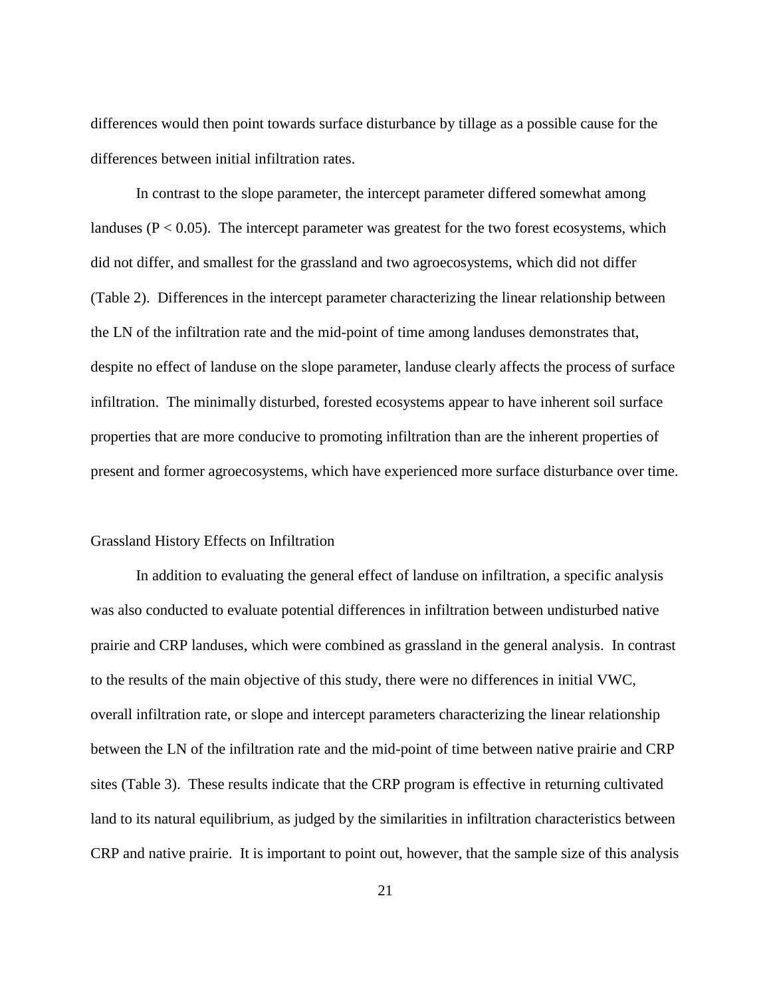differences would then point towards surface disturbance by tillage as a possible cause for the differences between initial infiltration rates.

In contrast to the slope parameter, the intercept parameter differed somewhat among landuses ( $P < 0.05$ ). The intercept parameter was greatest for the two forest ecosystems, which did not differ, and smallest for the grassland and two agroecosystems, which did not differ (Table 2). Differences in the intercept parameter characterizing the linear relationship between the LN of the infiltration rate and the mid-point of time among landuses demonstrates that, despite no effect of landuse on the slope parameter, landuse clearly affects the process of surface infiltration. The minimally disturbed, forested ecosystems appear to have inherent soil surface properties that are more conducive to promoting infiltration than are the inherent properties of present and former agroecosystems, which have experienced more surface disturbance over time.

#### Grassland History Effects on Infiltration

In addition to evaluating the general effect of landuse on infiltration, a specific analysis was also conducted to evaluate potential differences in infiltration between undisturbed native prairie and CRP landuses, which were combined as grassland in the general analysis. In contrast to the results of the main objective of this study, there were no differences in initial VWC, overall infiltration rate, or slope and intercept parameters characterizing the linear relationship between the LN of the infiltration rate and the mid-point of time between native prairie and CRP sites (Table 3). These results indicate that the CRP program is effective in returning cultivated land to its natural equilibrium, as judged by the similarities in infiltration characteristics between CRP and native prairie. It is important to point out, however, that the sample size of this analysis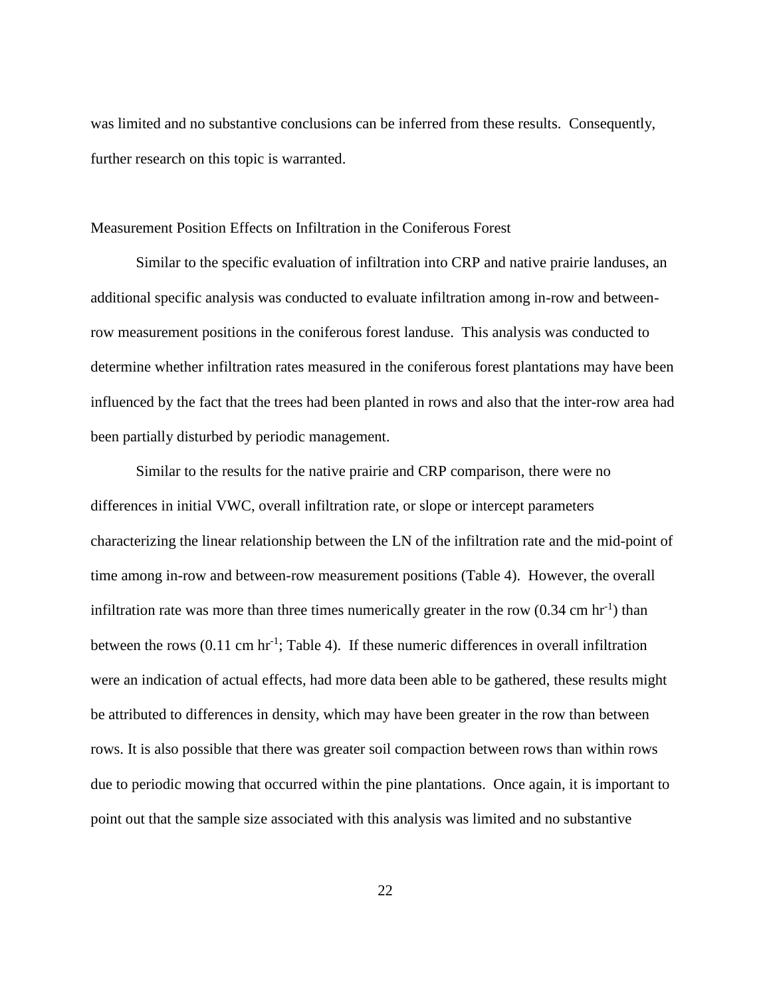was limited and no substantive conclusions can be inferred from these results. Consequently, further research on this topic is warranted.

#### Measurement Position Effects on Infiltration in the Coniferous Forest

Similar to the specific evaluation of infiltration into CRP and native prairie landuses, an additional specific analysis was conducted to evaluate infiltration among in-row and betweenrow measurement positions in the coniferous forest landuse. This analysis was conducted to determine whether infiltration rates measured in the coniferous forest plantations may have been influenced by the fact that the trees had been planted in rows and also that the inter-row area had been partially disturbed by periodic management.

Similar to the results for the native prairie and CRP comparison, there were no differences in initial VWC, overall infiltration rate, or slope or intercept parameters characterizing the linear relationship between the LN of the infiltration rate and the mid-point of time among in-row and between-row measurement positions (Table 4). However, the overall infiltration rate was more than three times numerically greater in the row  $(0.34 \text{ cm hr}^{-1})$  than between the rows  $(0.11 \text{ cm hr}^{-1}$ ; Table 4). If these numeric differences in overall infiltration were an indication of actual effects, had more data been able to be gathered, these results might be attributed to differences in density, which may have been greater in the row than between rows. It is also possible that there was greater soil compaction between rows than within rows due to periodic mowing that occurred within the pine plantations. Once again, it is important to point out that the sample size associated with this analysis was limited and no substantive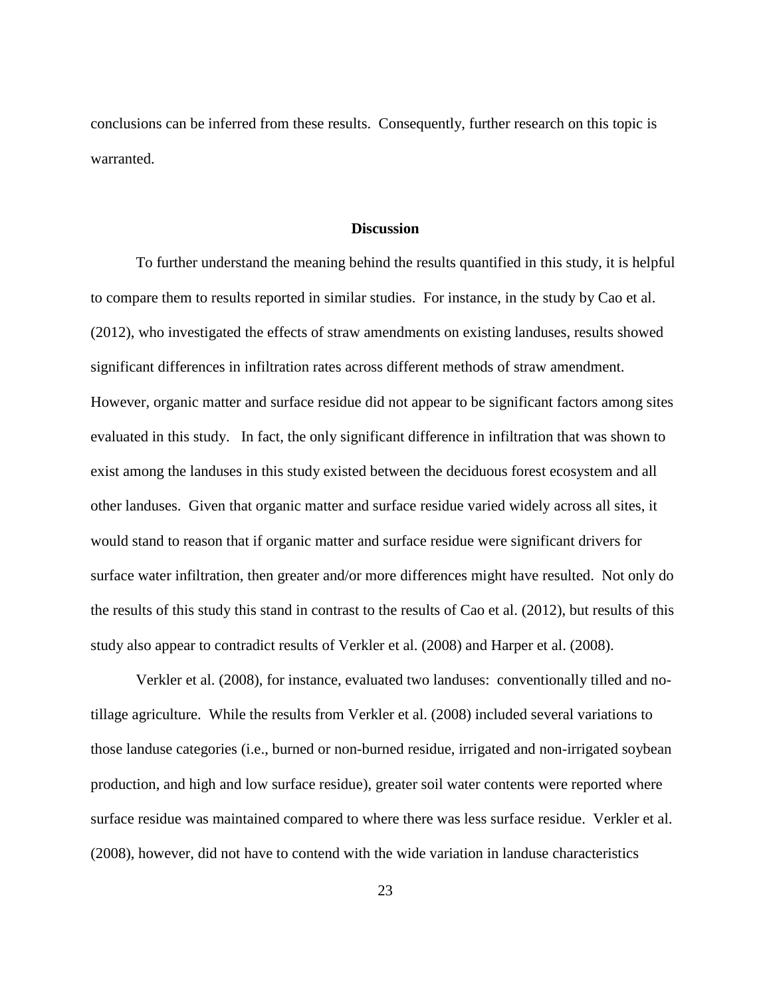conclusions can be inferred from these results. Consequently, further research on this topic is warranted.

#### **Discussion**

To further understand the meaning behind the results quantified in this study, it is helpful to compare them to results reported in similar studies. For instance, in the study by Cao et al. (2012), who investigated the effects of straw amendments on existing landuses, results showed significant differences in infiltration rates across different methods of straw amendment. However, organic matter and surface residue did not appear to be significant factors among sites evaluated in this study. In fact, the only significant difference in infiltration that was shown to exist among the landuses in this study existed between the deciduous forest ecosystem and all other landuses. Given that organic matter and surface residue varied widely across all sites, it would stand to reason that if organic matter and surface residue were significant drivers for surface water infiltration, then greater and/or more differences might have resulted. Not only do the results of this study this stand in contrast to the results of Cao et al. (2012), but results of this study also appear to contradict results of Verkler et al. (2008) and Harper et al. (2008).

Verkler et al. (2008), for instance, evaluated two landuses: conventionally tilled and notillage agriculture. While the results from Verkler et al. (2008) included several variations to those landuse categories (i.e., burned or non-burned residue, irrigated and non-irrigated soybean production, and high and low surface residue), greater soil water contents were reported where surface residue was maintained compared to where there was less surface residue. Verkler et al. (2008), however, did not have to contend with the wide variation in landuse characteristics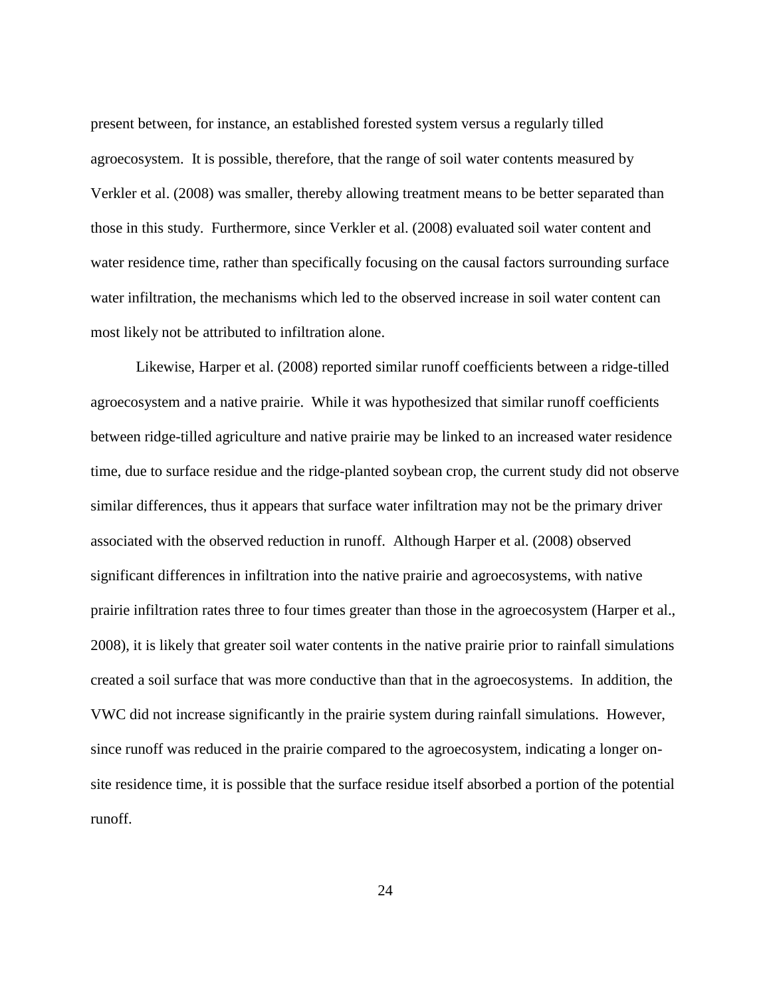present between, for instance, an established forested system versus a regularly tilled agroecosystem. It is possible, therefore, that the range of soil water contents measured by Verkler et al. (2008) was smaller, thereby allowing treatment means to be better separated than those in this study. Furthermore, since Verkler et al. (2008) evaluated soil water content and water residence time, rather than specifically focusing on the causal factors surrounding surface water infiltration, the mechanisms which led to the observed increase in soil water content can most likely not be attributed to infiltration alone.

Likewise, Harper et al. (2008) reported similar runoff coefficients between a ridge-tilled agroecosystem and a native prairie. While it was hypothesized that similar runoff coefficients between ridge-tilled agriculture and native prairie may be linked to an increased water residence time, due to surface residue and the ridge-planted soybean crop, the current study did not observe similar differences, thus it appears that surface water infiltration may not be the primary driver associated with the observed reduction in runoff. Although Harper et al. (2008) observed significant differences in infiltration into the native prairie and agroecosystems, with native prairie infiltration rates three to four times greater than those in the agroecosystem (Harper et al., 2008), it is likely that greater soil water contents in the native prairie prior to rainfall simulations created a soil surface that was more conductive than that in the agroecosystems. In addition, the VWC did not increase significantly in the prairie system during rainfall simulations. However, since runoff was reduced in the prairie compared to the agroecosystem, indicating a longer onsite residence time, it is possible that the surface residue itself absorbed a portion of the potential runoff.

24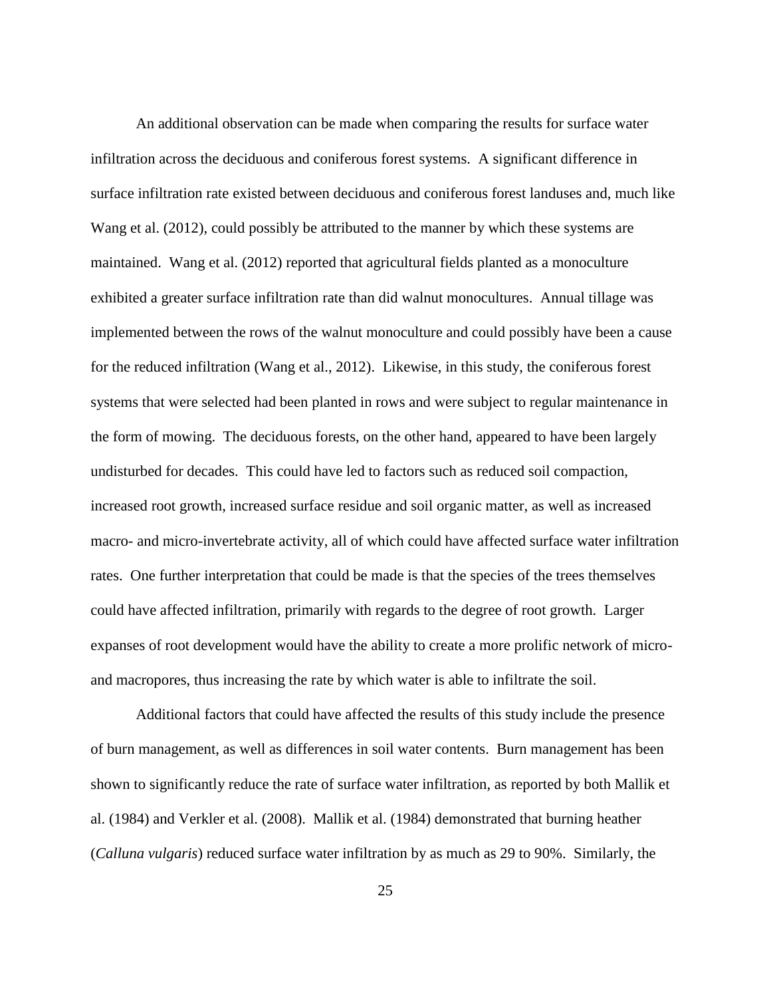An additional observation can be made when comparing the results for surface water infiltration across the deciduous and coniferous forest systems. A significant difference in surface infiltration rate existed between deciduous and coniferous forest landuses and, much like Wang et al. (2012), could possibly be attributed to the manner by which these systems are maintained. Wang et al. (2012) reported that agricultural fields planted as a monoculture exhibited a greater surface infiltration rate than did walnut monocultures. Annual tillage was implemented between the rows of the walnut monoculture and could possibly have been a cause for the reduced infiltration (Wang et al., 2012). Likewise, in this study, the coniferous forest systems that were selected had been planted in rows and were subject to regular maintenance in the form of mowing. The deciduous forests, on the other hand, appeared to have been largely undisturbed for decades. This could have led to factors such as reduced soil compaction, increased root growth, increased surface residue and soil organic matter, as well as increased macro- and micro-invertebrate activity, all of which could have affected surface water infiltration rates. One further interpretation that could be made is that the species of the trees themselves could have affected infiltration, primarily with regards to the degree of root growth. Larger expanses of root development would have the ability to create a more prolific network of microand macropores, thus increasing the rate by which water is able to infiltrate the soil.

Additional factors that could have affected the results of this study include the presence of burn management, as well as differences in soil water contents. Burn management has been shown to significantly reduce the rate of surface water infiltration, as reported by both Mallik et al. (1984) and Verkler et al. (2008). Mallik et al. (1984) demonstrated that burning heather (*Calluna vulgaris*) reduced surface water infiltration by as much as 29 to 90%. Similarly, the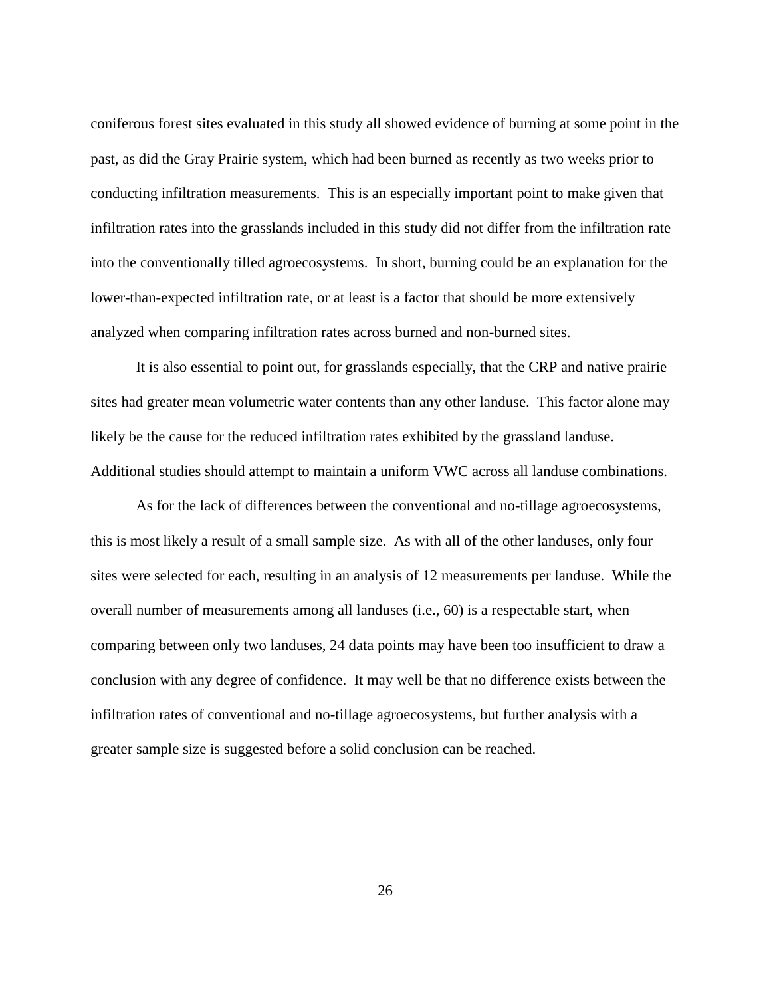coniferous forest sites evaluated in this study all showed evidence of burning at some point in the past, as did the Gray Prairie system, which had been burned as recently as two weeks prior to conducting infiltration measurements. This is an especially important point to make given that infiltration rates into the grasslands included in this study did not differ from the infiltration rate into the conventionally tilled agroecosystems. In short, burning could be an explanation for the lower-than-expected infiltration rate, or at least is a factor that should be more extensively analyzed when comparing infiltration rates across burned and non-burned sites.

It is also essential to point out, for grasslands especially, that the CRP and native prairie sites had greater mean volumetric water contents than any other landuse. This factor alone may likely be the cause for the reduced infiltration rates exhibited by the grassland landuse. Additional studies should attempt to maintain a uniform VWC across all landuse combinations.

As for the lack of differences between the conventional and no-tillage agroecosystems, this is most likely a result of a small sample size. As with all of the other landuses, only four sites were selected for each, resulting in an analysis of 12 measurements per landuse. While the overall number of measurements among all landuses (i.e., 60) is a respectable start, when comparing between only two landuses, 24 data points may have been too insufficient to draw a conclusion with any degree of confidence. It may well be that no difference exists between the infiltration rates of conventional and no-tillage agroecosystems, but further analysis with a greater sample size is suggested before a solid conclusion can be reached.

26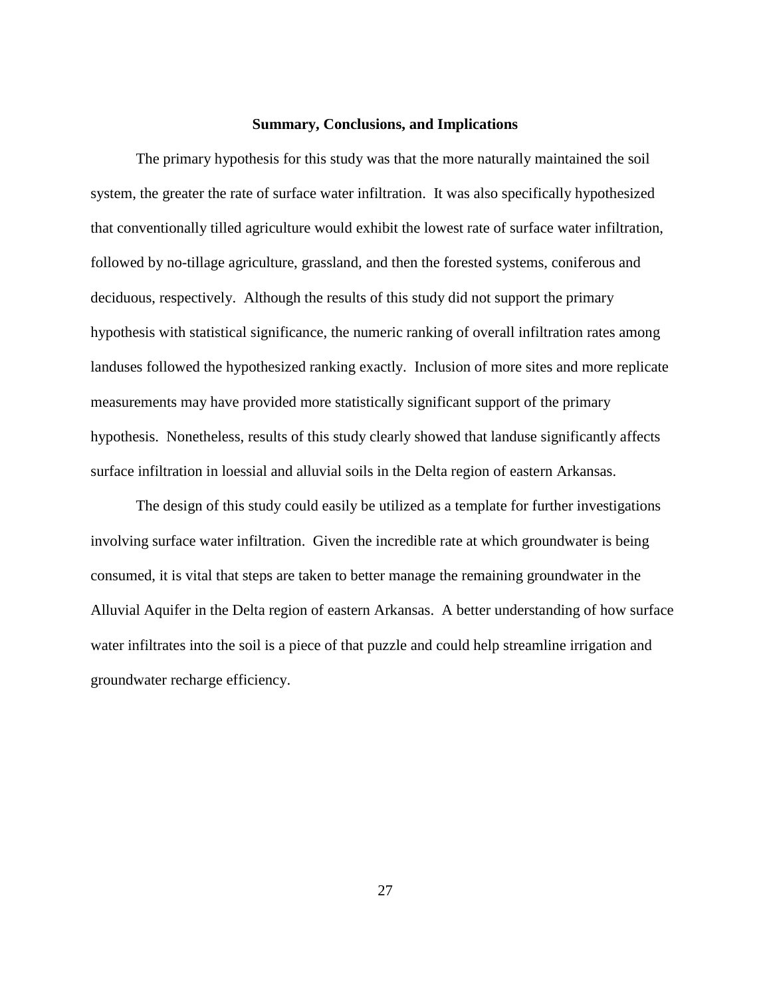#### **Summary, Conclusions, and Implications**

The primary hypothesis for this study was that the more naturally maintained the soil system, the greater the rate of surface water infiltration. It was also specifically hypothesized that conventionally tilled agriculture would exhibit the lowest rate of surface water infiltration, followed by no-tillage agriculture, grassland, and then the forested systems, coniferous and deciduous, respectively. Although the results of this study did not support the primary hypothesis with statistical significance, the numeric ranking of overall infiltration rates among landuses followed the hypothesized ranking exactly. Inclusion of more sites and more replicate measurements may have provided more statistically significant support of the primary hypothesis. Nonetheless, results of this study clearly showed that landuse significantly affects surface infiltration in loessial and alluvial soils in the Delta region of eastern Arkansas.

The design of this study could easily be utilized as a template for further investigations involving surface water infiltration. Given the incredible rate at which groundwater is being consumed, it is vital that steps are taken to better manage the remaining groundwater in the Alluvial Aquifer in the Delta region of eastern Arkansas. A better understanding of how surface water infiltrates into the soil is a piece of that puzzle and could help streamline irrigation and groundwater recharge efficiency.

27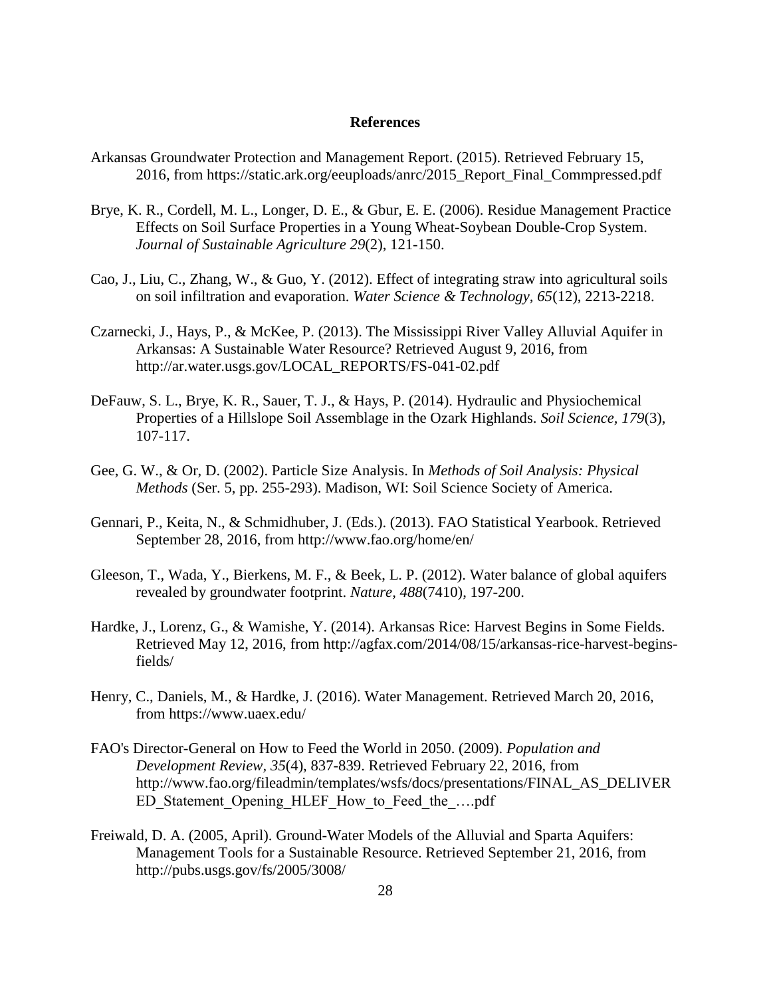#### **References**

- Arkansas Groundwater Protection and Management Report. (2015). Retrieved February 15, 2016, from https://static.ark.org/eeuploads/anrc/2015\_Report\_Final\_Commpressed.pdf
- Brye, K. R., Cordell, M. L., Longer, D. E., & Gbur, E. E. (2006). Residue Management Practice Effects on Soil Surface Properties in a Young Wheat-Soybean Double-Crop System. *Journal of Sustainable Agriculture 29*(2), 121-150.
- Cao, J., Liu, C., Zhang, W., & Guo, Y. (2012). Effect of integrating straw into agricultural soils on soil infiltration and evaporation. *Water Science & Technology, 65*(12), 2213-2218.
- Czarnecki, J., Hays, P., & McKee, P. (2013). The Mississippi River Valley Alluvial Aquifer in Arkansas: A Sustainable Water Resource? Retrieved August 9, 2016, from http://ar.water.usgs.gov/LOCAL\_REPORTS/FS-041-02.pdf
- DeFauw, S. L., Brye, K. R., Sauer, T. J., & Hays, P. (2014). Hydraulic and Physiochemical Properties of a Hillslope Soil Assemblage in the Ozark Highlands. *Soil Science, 179*(3), 107-117.
- Gee, G. W., & Or, D. (2002). Particle Size Analysis. In *Methods of Soil Analysis: Physical Methods* (Ser. 5, pp. 255-293). Madison, WI: Soil Science Society of America.
- Gennari, P., Keita, N., & Schmidhuber, J. (Eds.). (2013). FAO Statistical Yearbook. Retrieved September 28, 2016, from http://www.fao.org/home/en/
- Gleeson, T., Wada, Y., Bierkens, M. F., & Beek, L. P. (2012). Water balance of global aquifers revealed by groundwater footprint. *Nature, 488*(7410), 197-200.
- Hardke, J., Lorenz, G., & Wamishe, Y. (2014). Arkansas Rice: Harvest Begins in Some Fields. Retrieved May 12, 2016, from http://agfax.com/2014/08/15/arkansas-rice-harvest-beginsfields/
- Henry, C., Daniels, M., & Hardke, J. (2016). Water Management. Retrieved March 20, 2016, from https://www.uaex.edu/
- FAO's Director-General on How to Feed the World in 2050. (2009). *Population and Development Review, 35*(4), 837-839. Retrieved February 22, 2016, from http://www.fao.org/fileadmin/templates/wsfs/docs/presentations/FINAL\_AS\_DELIVER ED Statement Opening HLEF How to Feed the ....pdf
- Freiwald, D. A. (2005, April). Ground-Water Models of the Alluvial and Sparta Aquifers: Management Tools for a Sustainable Resource. Retrieved September 21, 2016, from http://pubs.usgs.gov/fs/2005/3008/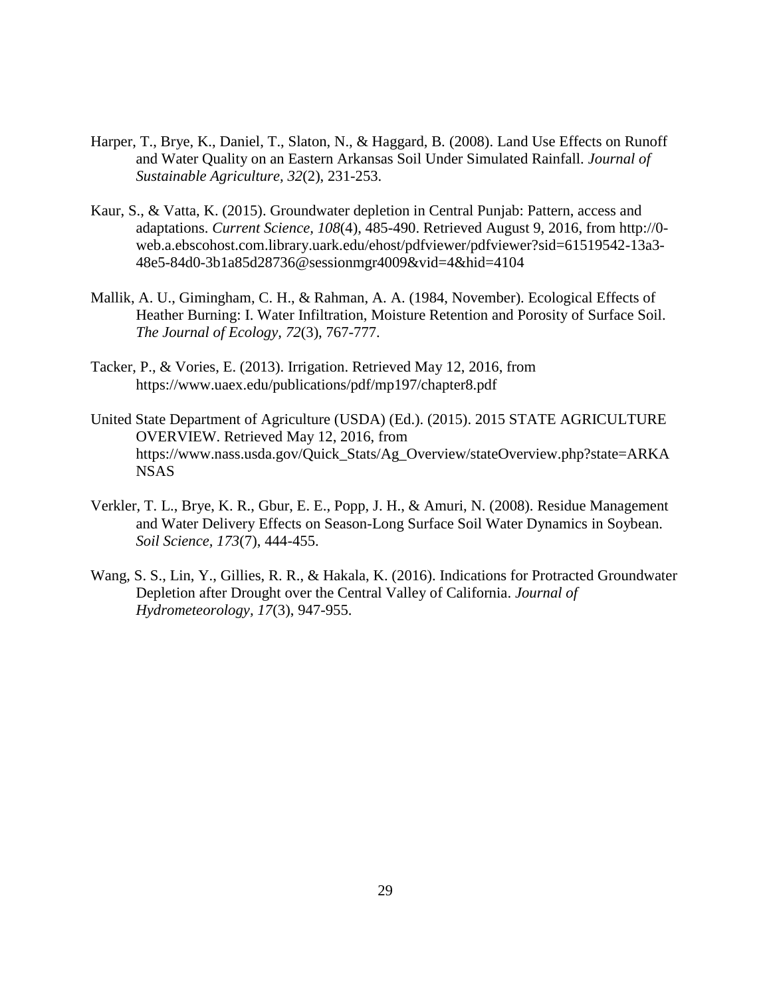- Harper, T., Brye, K., Daniel, T., Slaton, N., & Haggard, B. (2008). Land Use Effects on Runoff and Water Quality on an Eastern Arkansas Soil Under Simulated Rainfall. *Journal of Sustainable Agriculture, 32*(2), 231-253.
- Kaur, S., & Vatta, K. (2015). Groundwater depletion in Central Punjab: Pattern, access and adaptations. *Current Science, 108*(4), 485-490. Retrieved August 9, 2016, from http://0 web.a.ebscohost.com.library.uark.edu/ehost/pdfviewer/pdfviewer?sid=61519542-13a3- 48e5-84d0-3b1a85d28736@sessionmgr4009&vid=4&hid=4104
- Mallik, A. U., Gimingham, C. H., & Rahman, A. A. (1984, November). Ecological Effects of Heather Burning: I. Water Infiltration, Moisture Retention and Porosity of Surface Soil. *The Journal of Ecology, 72*(3), 767-777.
- Tacker, P., & Vories, E. (2013). Irrigation. Retrieved May 12, 2016, from https://www.uaex.edu/publications/pdf/mp197/chapter8.pdf
- United State Department of Agriculture (USDA) (Ed.). (2015). 2015 STATE AGRICULTURE OVERVIEW. Retrieved May 12, 2016, from https://www.nass.usda.gov/Quick\_Stats/Ag\_Overview/stateOverview.php?state=ARKA NSAS
- Verkler, T. L., Brye, K. R., Gbur, E. E., Popp, J. H., & Amuri, N. (2008). Residue Management and Water Delivery Effects on Season-Long Surface Soil Water Dynamics in Soybean. *Soil Science, 173*(7), 444-455.
- Wang, S. S., Lin, Y., Gillies, R. R., & Hakala, K. (2016). Indications for Protracted Groundwater Depletion after Drought over the Central Valley of California. *Journal of Hydrometeorology, 17*(3), 947-955.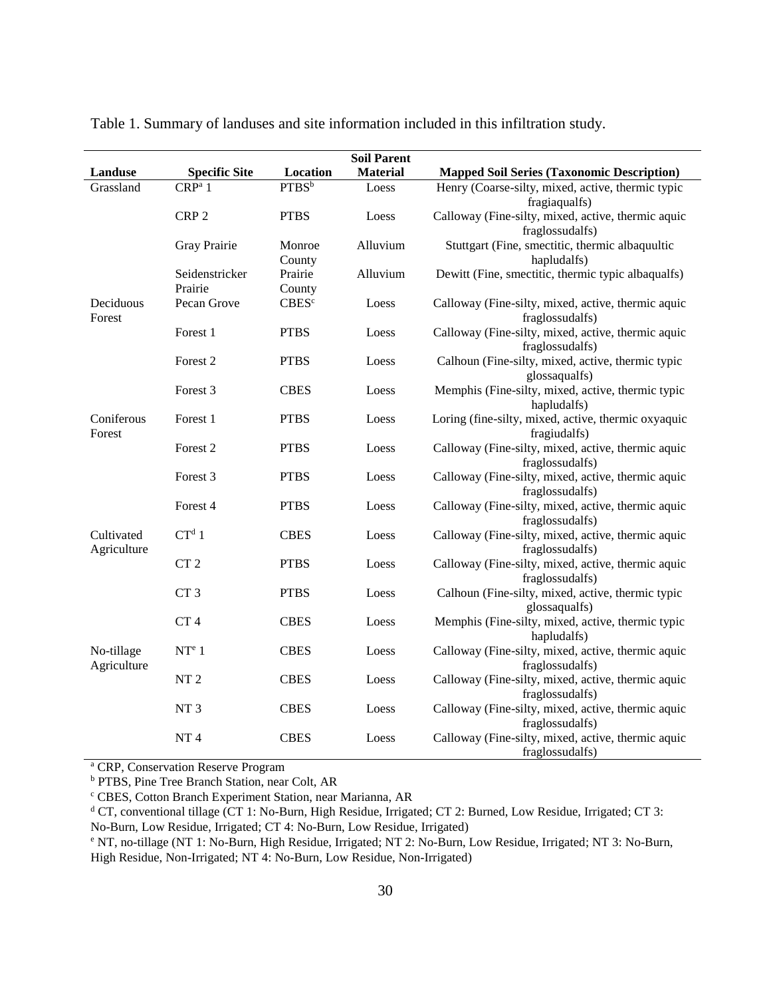|                           |                           |                   | <b>Soil Parent</b> |                                                                       |
|---------------------------|---------------------------|-------------------|--------------------|-----------------------------------------------------------------------|
| <b>Landuse</b>            | <b>Specific Site</b>      | Location          | <b>Material</b>    | <b>Mapped Soil Series (Taxonomic Description)</b>                     |
| Grassland                 | CRP <sup>a</sup> 1        | PTBS <sup>b</sup> | Loess              | Henry (Coarse-silty, mixed, active, thermic typic<br>fragiaqualfs)    |
|                           | CRP <sub>2</sub>          | <b>PTBS</b>       | Loess              | Calloway (Fine-silty, mixed, active, thermic aquic<br>fraglossudalfs) |
|                           | Gray Prairie              | Monroe<br>County  | Alluvium           | Stuttgart (Fine, smectitic, thermic albaquultic<br>hapludalfs)        |
|                           | Seidenstricker<br>Prairie | Prairie<br>County | Alluvium           | Dewitt (Fine, smectitic, thermic typic albaqualfs)                    |
| Deciduous<br>Forest       | Pecan Grove               | CBES <sup>c</sup> | Loess              | Calloway (Fine-silty, mixed, active, thermic aquic<br>fraglossudalfs) |
|                           | Forest 1                  | <b>PTBS</b>       | Loess              | Calloway (Fine-silty, mixed, active, thermic aquic<br>fraglossudalfs) |
|                           | Forest <sub>2</sub>       | <b>PTBS</b>       | Loess              | Calhoun (Fine-silty, mixed, active, thermic typic<br>glossaqualfs)    |
|                           | Forest 3                  | <b>CBES</b>       | Loess              | Memphis (Fine-silty, mixed, active, thermic typic<br>hapludalfs)      |
| Coniferous<br>Forest      | Forest 1                  | <b>PTBS</b>       | Loess              | Loring (fine-silty, mixed, active, thermic oxyaquic<br>fragiudalfs)   |
|                           | Forest <sub>2</sub>       | <b>PTBS</b>       | Loess              | Calloway (Fine-silty, mixed, active, thermic aquic<br>fraglossudalfs) |
|                           | Forest 3                  | <b>PTBS</b>       | Loess              | Calloway (Fine-silty, mixed, active, thermic aquic<br>fraglossudalfs) |
|                           | Forest 4                  | <b>PTBS</b>       | Loess              | Calloway (Fine-silty, mixed, active, thermic aquic<br>fraglossudalfs) |
| Cultivated<br>Agriculture | $CT^d 1$                  | <b>CBES</b>       | Loess              | Calloway (Fine-silty, mixed, active, thermic aquic<br>fraglossudalfs) |
|                           | CT <sub>2</sub>           | <b>PTBS</b>       | Loess              | Calloway (Fine-silty, mixed, active, thermic aquic<br>fraglossudalfs) |
|                           | CT <sub>3</sub>           | <b>PTBS</b>       | Loess              | Calhoun (Fine-silty, mixed, active, thermic typic<br>glossaqualfs)    |
|                           | CT <sub>4</sub>           | <b>CBES</b>       | Loess              | Memphis (Fine-silty, mixed, active, thermic typic<br>hapludalfs)      |
| No-tillage<br>Agriculture | NT <sup>e</sup> 1         | <b>CBES</b>       | Loess              | Calloway (Fine-silty, mixed, active, thermic aquic<br>fraglossudalfs) |
|                           | NT <sub>2</sub>           | <b>CBES</b>       | Loess              | Calloway (Fine-silty, mixed, active, thermic aquic<br>fraglossudalfs) |
|                           | NT <sub>3</sub>           | <b>CBES</b>       | Loess              | Calloway (Fine-silty, mixed, active, thermic aquic<br>fraglossudalfs) |
|                           | NT <sub>4</sub>           | <b>CBES</b>       | Loess              | Calloway (Fine-silty, mixed, active, thermic aquic<br>fraglossudalfs) |

Table 1. Summary of landuses and site information included in this infiltration study.

<sup>a</sup> CRP, Conservation Reserve Program

<sup>b</sup> PTBS, Pine Tree Branch Station, near Colt, AR

<sup>c</sup> CBES, Cotton Branch Experiment Station, near Marianna, AR

<sup>d</sup> CT, conventional tillage (CT 1: No-Burn, High Residue, Irrigated; CT 2: Burned, Low Residue, Irrigated; CT 3:

No-Burn, Low Residue, Irrigated; CT 4: No-Burn, Low Residue, Irrigated)

<sup>e</sup> NT, no-tillage (NT 1: No-Burn, High Residue, Irrigated; NT 2: No-Burn, Low Residue, Irrigated; NT 3: No-Burn, High Residue, Non-Irrigated; NT 4: No-Burn, Low Residue, Non-Irrigated)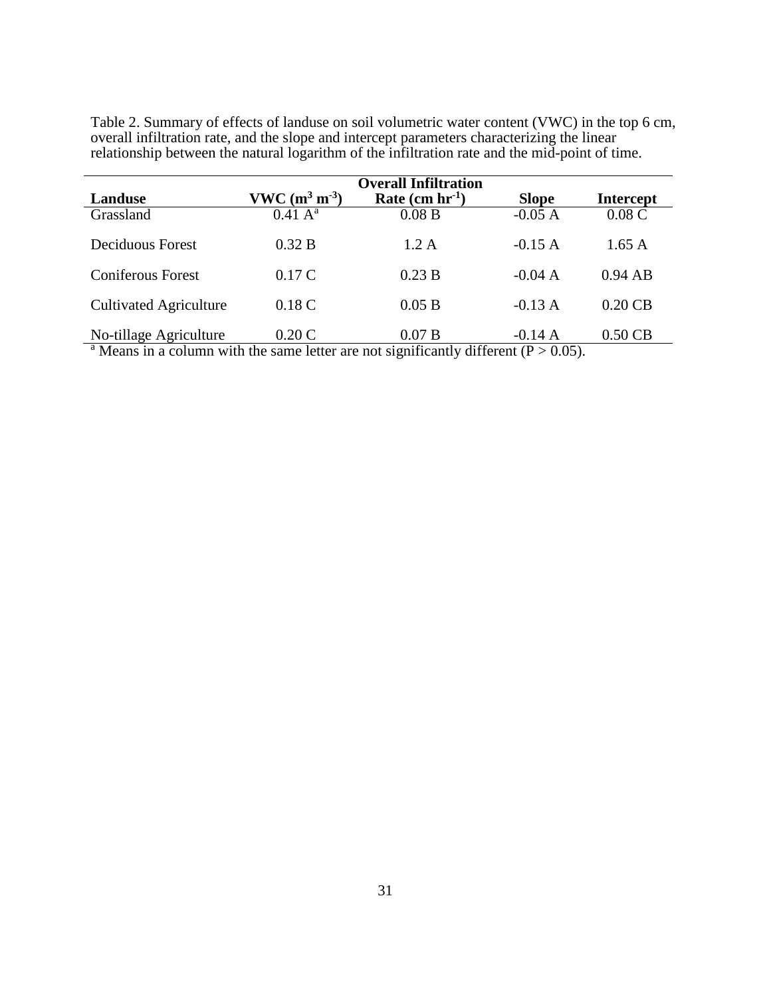|                                                     |                             | <b>Overall Infiltration</b>   |                                   |                  |
|-----------------------------------------------------|-----------------------------|-------------------------------|-----------------------------------|------------------|
| Landuse                                             | $VWC (m^3 m^{-3})$          | Rate $(cm hr-1)$              | <b>Slope</b>                      | <b>Intercept</b> |
| Grassland                                           | $0.41 \text{ A}^{\text{a}}$ | 0.08 B                        | $-0.05A$                          | 0.08C            |
| Deciduous Forest                                    | 0.32 B                      | 1.2 A                         | $-0.15A$                          | 1.65A            |
| <b>Coniferous Forest</b>                            | 0.17C                       | 0.23 B                        | $-0.04 A$                         | $0.94$ AB        |
| <b>Cultivated Agriculture</b>                       | 0.18C                       | 0.05 B                        | $-0.13 A$                         | $0.20$ CB        |
| No-tillage Agriculture<br>.<br>$\sim$ $\sim$ $\sim$ | 0.20C                       | 0.07 B<br>$\cdots$<br>$\cdot$ | $-0.14 A$<br>$\sim$ $\sim$ $\sim$ | $0.50$ CB        |

Table 2. Summary of effects of landuse on soil volumetric water content (VWC) in the top 6 cm, overall infiltration rate, and the slope and intercept parameters characterizing the linear relationship between the natural logarithm of the infiltration rate and the mid-point of time.

<sup>a</sup> Means in a column with the same letter are not significantly different ( $P > 0.05$ ).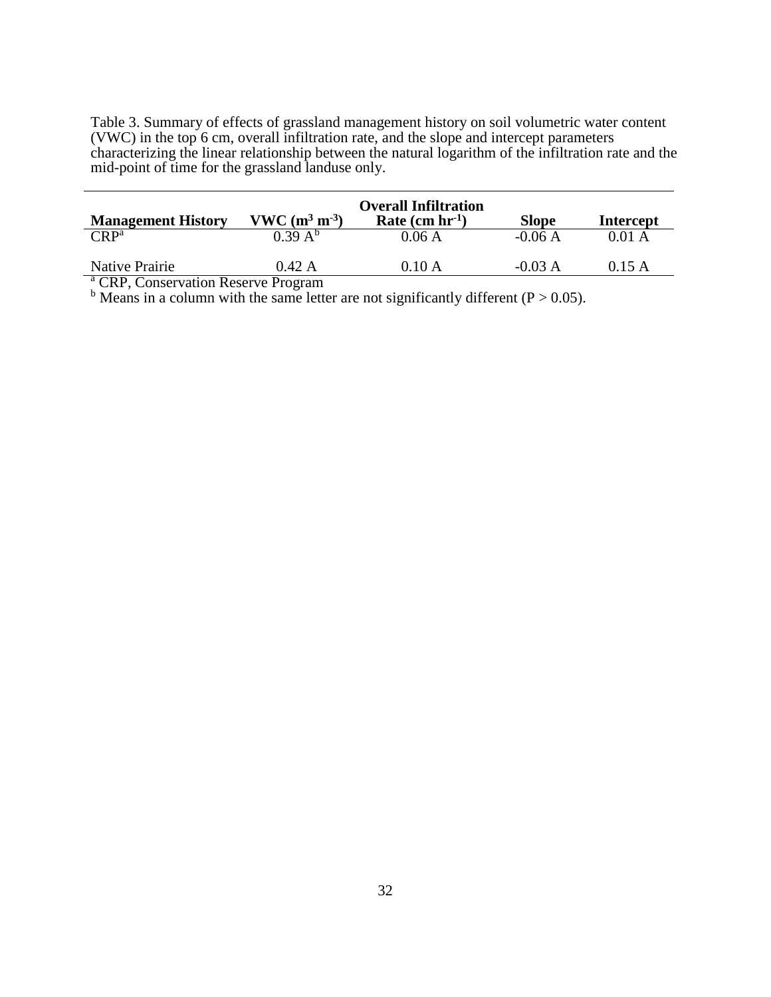Table 3. Summary of effects of grassland management history on soil volumetric water content (VWC) in the top 6 cm, overall infiltration rate, and the slope and intercept parameters characterizing the linear relationship between the natural logarithm of the infiltration rate and the mid-point of time for the grassland landuse only.

| <b>Management History</b> | $VWC (m^3 m^{-3})$ | <b>Overall Infiltration</b><br>Rate $(cm hr-1)$ | <b>Slope</b> | <b>Intercept</b> |
|---------------------------|--------------------|-------------------------------------------------|--------------|------------------|
| $CRP^a$                   | $0.39 A^{b}$       | 0.06A                                           | $-0.06A$     | $0.01 \text{ A}$ |
| Native Prairie            | 0.42 A             | 0.10 A                                          | $-0.03 A$    | 0.15A            |

<sup>a</sup> CRP, Conservation Reserve Program

 $b$  Means in a column with the same letter are not significantly different (P > 0.05).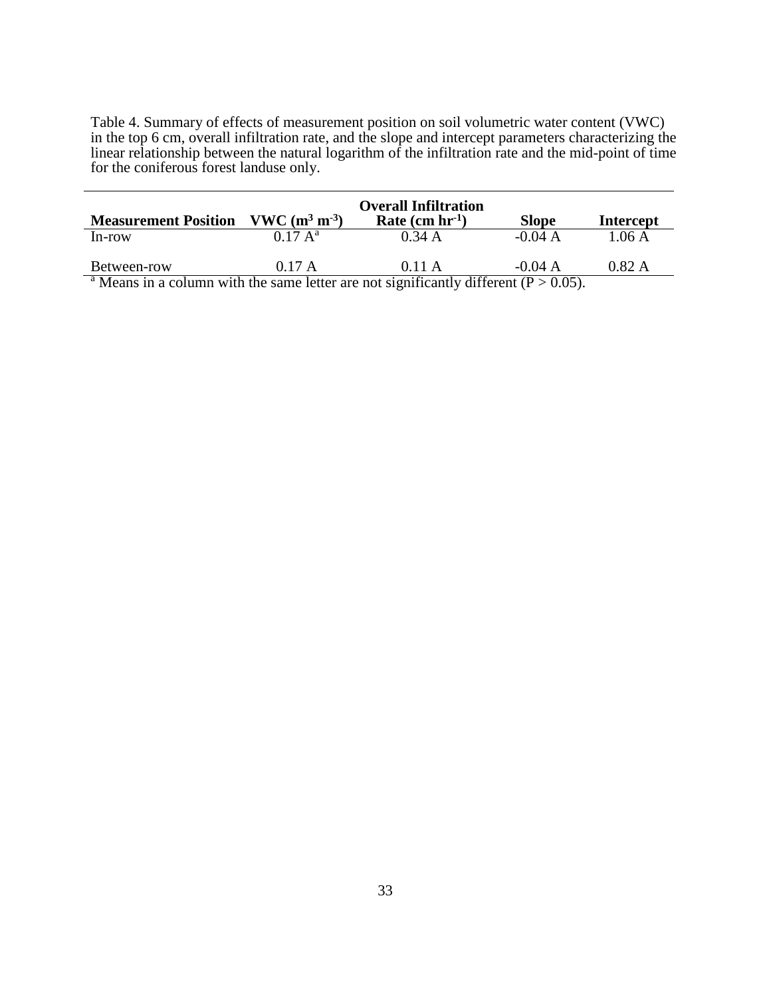Table 4. Summary of effects of measurement position on soil volumetric water content (VWC) in the top 6 cm, overall infiltration rate, and the slope and intercept parameters characterizing the linear relationship between the natural logarithm of the infiltration rate and the mid-point of time for the coniferous forest landuse only.

| <b>Measurement Position</b> | $VWC (m^3 m^{-3})$          | <b>Overall Infiltration</b><br>Rate $(cm hr-1)$ | <b>Slope</b> | <b>Intercept</b> |
|-----------------------------|-----------------------------|-------------------------------------------------|--------------|------------------|
| In-row                      | $0.17 \text{ A}^{\text{a}}$ | 0.34A                                           | $-0.04 A$    | 1.06 A           |
| Between-row                 | 0.17 A                      | 0.11 A                                          | $-0.04 A$    | 0.82 A           |

Means in a column with the same letter are not significantly different ( $P > 0.05$ ).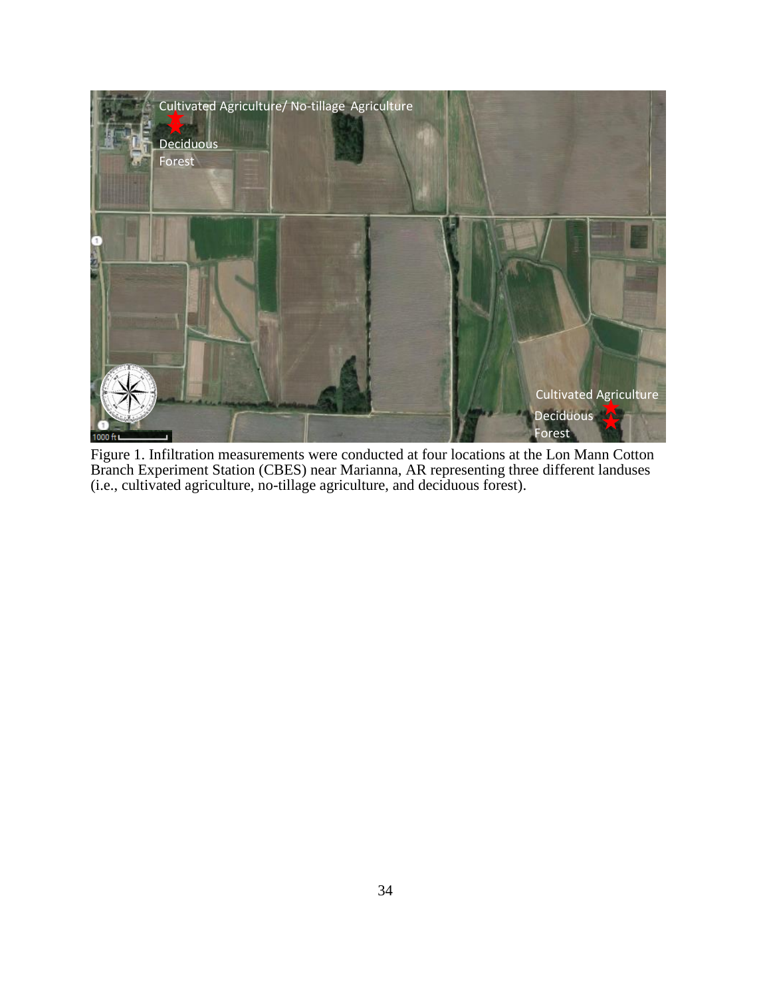

Figure 1. Infiltration measurements were conducted at four locations at the Lon Mann Cotton Branch Experiment Station (CBES) near Marianna, AR representing three different landuses (i.e., cultivated agriculture, no-tillage agriculture, and deciduous forest).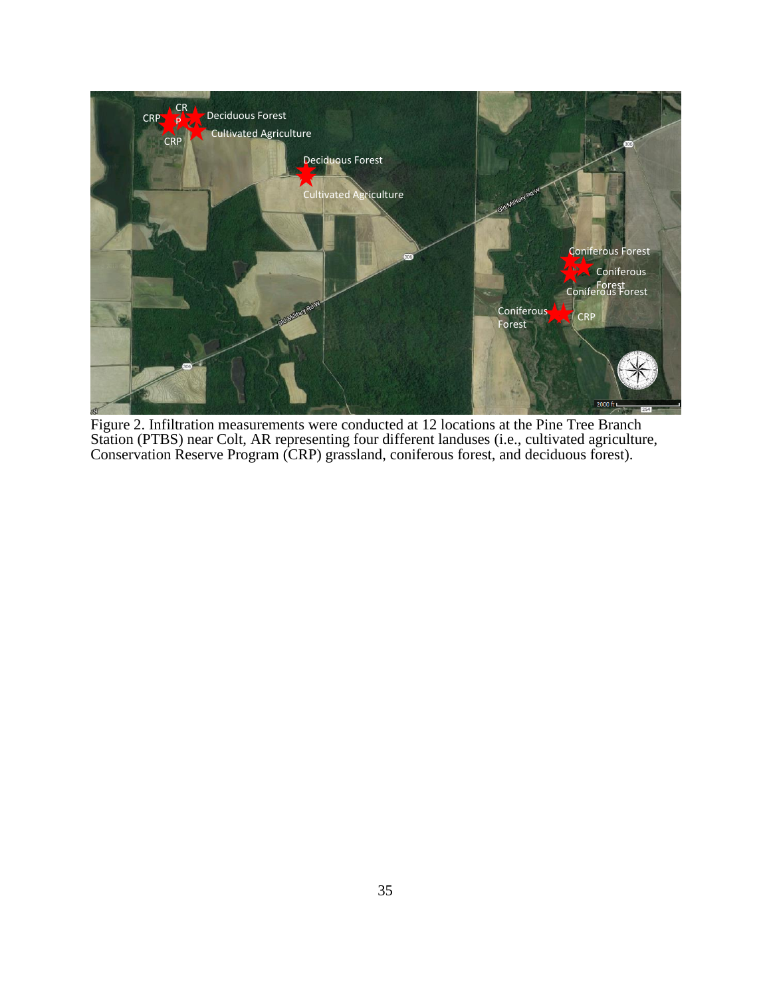

Figure 2. Infiltration measurements were conducted at 12 locations at the Pine Tree Branch Station (PTBS) near Colt, AR representing four different landuses (i.e., cultivated agriculture, Conservation Reserve Program (CRP) grassland, coniferous forest, and deciduous forest).